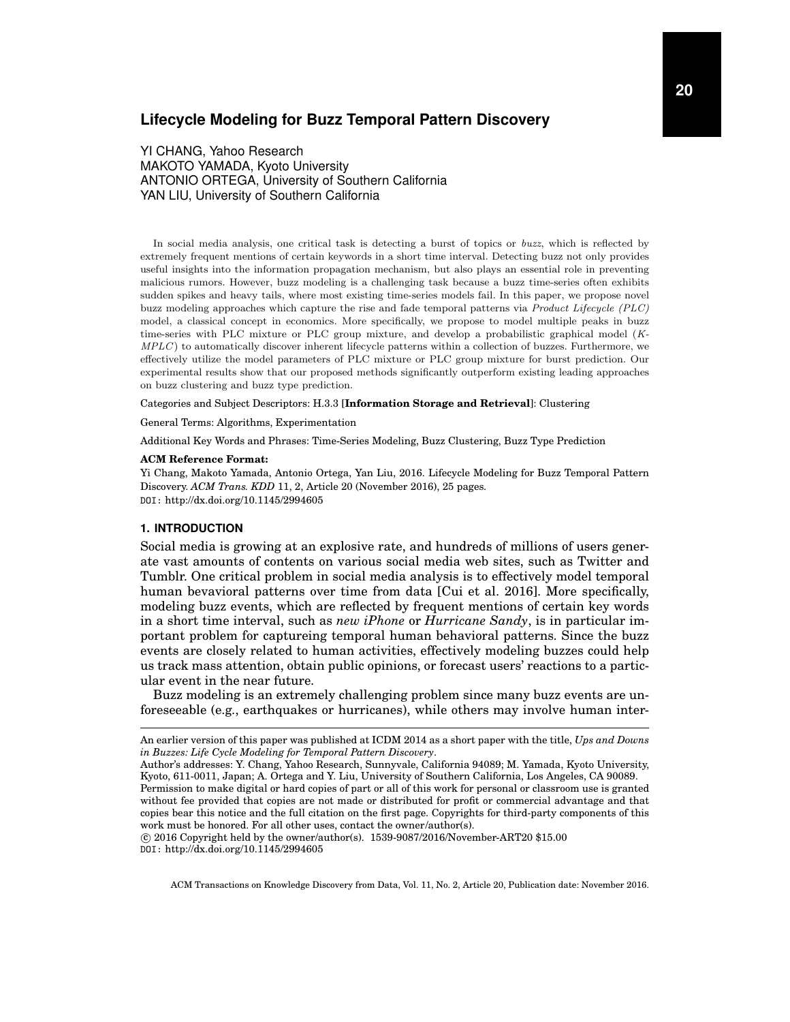# **Lifecycle Modeling for Buzz Temporal Pattern Discovery**

YI CHANG, Yahoo Research MAKOTO YAMADA, Kyoto University ANTONIO ORTEGA, University of Southern California YAN LIU, University of Southern California

In social media analysis, one critical task is detecting a burst of topics or buzz, which is reflected by extremely frequent mentions of certain keywords in a short time interval. Detecting buzz not only provides useful insights into the information propagation mechanism, but also plays an essential role in preventing malicious rumors. However, buzz modeling is a challenging task because a buzz time-series often exhibits sudden spikes and heavy tails, where most existing time-series models fail. In this paper, we propose novel buzz modeling approaches which capture the rise and fade temporal patterns via Product Lifecycle (PLC) model, a classical concept in economics. More specifically, we propose to model multiple peaks in buzz time-series with PLC mixture or PLC group mixture, and develop a probabilistic graphical model (K-MPLC) to automatically discover inherent lifecycle patterns within a collection of buzzes. Furthermore, we effectively utilize the model parameters of PLC mixture or PLC group mixture for burst prediction. Our experimental results show that our proposed methods significantly outperform existing leading approaches on buzz clustering and buzz type prediction.

Categories and Subject Descriptors: H.3.3 [**Information Storage and Retrieval**]: Clustering

General Terms: Algorithms, Experimentation

Additional Key Words and Phrases: Time-Series Modeling, Buzz Clustering, Buzz Type Prediction

#### **ACM Reference Format:**

Yi Chang, Makoto Yamada, Antonio Ortega, Yan Liu, 2016. Lifecycle Modeling for Buzz Temporal Pattern Discovery. *ACM Trans. KDD* 11, 2, Article 20 (November 2016), 25 pages. DOI: http://dx.doi.org/10.1145/2994605

#### **1. INTRODUCTION**

Social media is growing at an explosive rate, and hundreds of millions of users generate vast amounts of contents on various social media web sites, such as Twitter and Tumblr. One critical problem in social media analysis is to effectively model temporal human bevavioral patterns over time from data [Cui et al. 2016]. More specifically, modeling buzz events, which are reflected by frequent mentions of certain key words in a short time interval, such as *new iPhone* or *Hurricane Sandy*, is in particular important problem for captureing temporal human behavioral patterns. Since the buzz events are closely related to human activities, effectively modeling buzzes could help us track mass attention, obtain public opinions, or forecast users' reactions to a particular event in the near future.

Buzz modeling is an extremely challenging problem since many buzz events are unforeseeable (e.g., earthquakes or hurricanes), while others may involve human inter-

 c 2016 Copyright held by the owner/author(s). 1539-9087/2016/November-ART20 \$15.00 DOI: http://dx.doi.org/10.1145/2994605

An earlier version of this paper was published at ICDM 2014 as a short paper with the title, *Ups and Downs in Buzzes: Life Cycle Modeling for Temporal Pattern Discovery*.

Author's addresses: Y. Chang, Yahoo Research, Sunnyvale, California 94089; M. Yamada, Kyoto University, Kyoto, 611-0011, Japan; A. Ortega and Y. Liu, University of Southern California, Los Angeles, CA 90089.

Permission to make digital or hard copies of part or all of this work for personal or classroom use is granted without fee provided that copies are not made or distributed for profit or commercial advantage and that copies bear this notice and the full citation on the first page. Copyrights for third-party components of this work must be honored. For all other uses, contact the owner/author(s).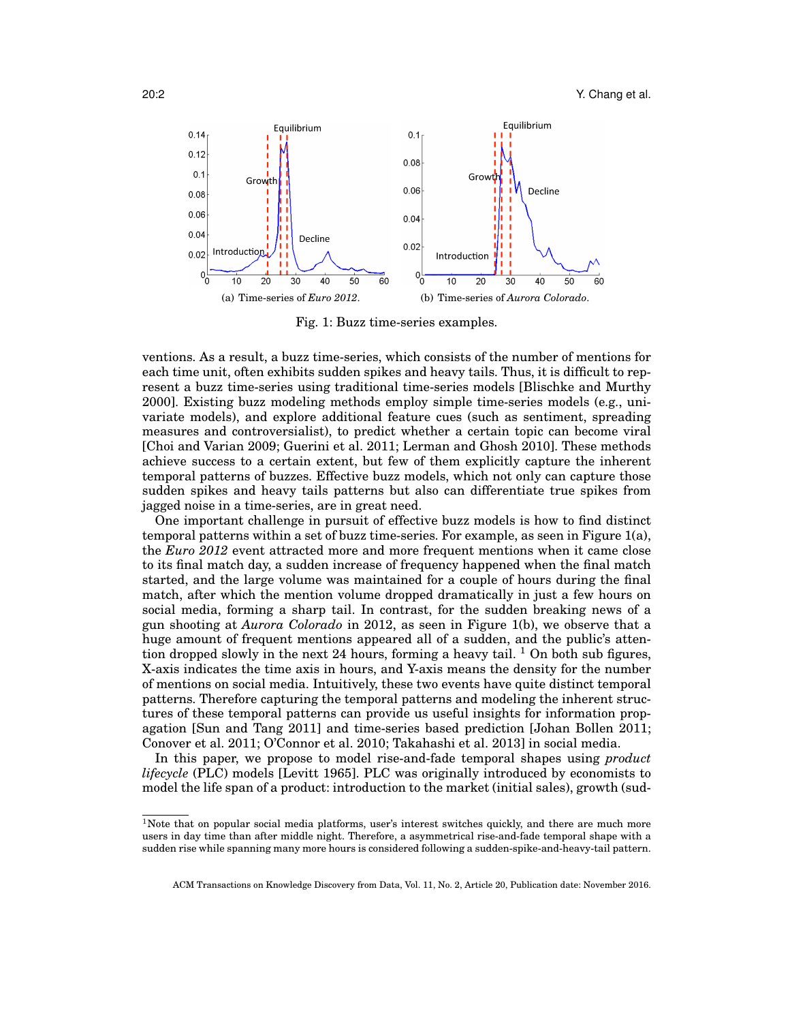20:2 **Y.** Chang et al.



Fig. 1: Buzz time-series examples.

ventions. As a result, a buzz time-series, which consists of the number of mentions for each time unit, often exhibits sudden spikes and heavy tails. Thus, it is difficult to represent a buzz time-series using traditional time-series models [Blischke and Murthy 2000]. Existing buzz modeling methods employ simple time-series models (e.g., univariate models), and explore additional feature cues (such as sentiment, spreading measures and controversialist), to predict whether a certain topic can become viral [Choi and Varian 2009; Guerini et al. 2011; Lerman and Ghosh 2010]. These methods achieve success to a certain extent, but few of them explicitly capture the inherent temporal patterns of buzzes. Effective buzz models, which not only can capture those sudden spikes and heavy tails patterns but also can differentiate true spikes from jagged noise in a time-series, are in great need.

One important challenge in pursuit of effective buzz models is how to find distinct temporal patterns within a set of buzz time-series. For example, as seen in Figure 1(a), the *Euro 2012* event attracted more and more frequent mentions when it came close to its final match day, a sudden increase of frequency happened when the final match started, and the large volume was maintained for a couple of hours during the final match, after which the mention volume dropped dramatically in just a few hours on social media, forming a sharp tail. In contrast, for the sudden breaking news of a gun shooting at *Aurora Colorado* in 2012, as seen in Figure 1(b), we observe that a huge amount of frequent mentions appeared all of a sudden, and the public's attention dropped slowly in the next 24 hours, forming a heavy tail.  $\frac{1}{1}$  On both sub figures, X-axis indicates the time axis in hours, and Y-axis means the density for the number of mentions on social media. Intuitively, these two events have quite distinct temporal patterns. Therefore capturing the temporal patterns and modeling the inherent structures of these temporal patterns can provide us useful insights for information propagation [Sun and Tang 2011] and time-series based prediction [Johan Bollen 2011; Conover et al. 2011; O'Connor et al. 2010; Takahashi et al. 2013] in social media.

In this paper, we propose to model rise-and-fade temporal shapes using *product lifecycle* (PLC) models [Levitt 1965]. PLC was originally introduced by economists to model the life span of a product: introduction to the market (initial sales), growth (sud-

ACM Transactions on Knowledge Discovery from Data, Vol. 11, No. 2, Article 20, Publication date: November 2016.

 $1$ Note that on popular social media platforms, user's interest switches quickly, and there are much more users in day time than after middle night. Therefore, a asymmetrical rise-and-fade temporal shape with a sudden rise while spanning many more hours is considered following a sudden-spike-and-heavy-tail pattern.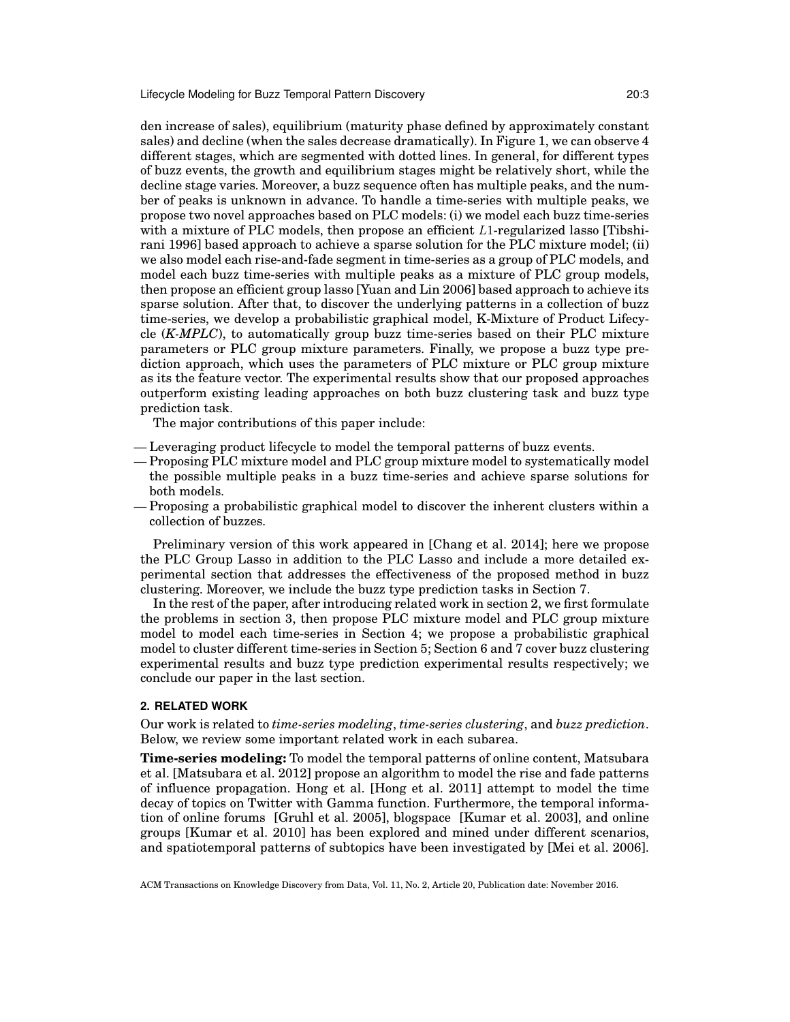den increase of sales), equilibrium (maturity phase defined by approximately constant sales) and decline (when the sales decrease dramatically). In Figure 1, we can observe 4 different stages, which are segmented with dotted lines. In general, for different types of buzz events, the growth and equilibrium stages might be relatively short, while the decline stage varies. Moreover, a buzz sequence often has multiple peaks, and the number of peaks is unknown in advance. To handle a time-series with multiple peaks, we propose two novel approaches based on PLC models: (i) we model each buzz time-series with a mixture of PLC models, then propose an efficient  $L1$ -regularized lasso [Tibshirani 1996] based approach to achieve a sparse solution for the PLC mixture model; (ii) we also model each rise-and-fade segment in time-series as a group of PLC models, and model each buzz time-series with multiple peaks as a mixture of PLC group models, then propose an efficient group lasso [Yuan and Lin 2006] based approach to achieve its sparse solution. After that, to discover the underlying patterns in a collection of buzz time-series, we develop a probabilistic graphical model, K-Mixture of Product Lifecycle (*K-MPLC*), to automatically group buzz time-series based on their PLC mixture parameters or PLC group mixture parameters. Finally, we propose a buzz type prediction approach, which uses the parameters of PLC mixture or PLC group mixture as its the feature vector. The experimental results show that our proposed approaches outperform existing leading approaches on both buzz clustering task and buzz type prediction task.

The major contributions of this paper include:

- Leveraging product lifecycle to model the temporal patterns of buzz events.
- Proposing PLC mixture model and PLC group mixture model to systematically model the possible multiple peaks in a buzz time-series and achieve sparse solutions for both models.
- Proposing a probabilistic graphical model to discover the inherent clusters within a collection of buzzes.

Preliminary version of this work appeared in [Chang et al. 2014]; here we propose the PLC Group Lasso in addition to the PLC Lasso and include a more detailed experimental section that addresses the effectiveness of the proposed method in buzz clustering. Moreover, we include the buzz type prediction tasks in Section 7.

In the rest of the paper, after introducing related work in section 2, we first formulate the problems in section 3, then propose PLC mixture model and PLC group mixture model to model each time-series in Section 4; we propose a probabilistic graphical model to cluster different time-series in Section 5; Section 6 and 7 cover buzz clustering experimental results and buzz type prediction experimental results respectively; we conclude our paper in the last section.

## **2. RELATED WORK**

Our work is related to *time-series modeling*, *time-series clustering*, and *buzz prediction*. Below, we review some important related work in each subarea.

**Time-series modeling:** To model the temporal patterns of online content, Matsubara et al. [Matsubara et al. 2012] propose an algorithm to model the rise and fade patterns of influence propagation. Hong et al. [Hong et al. 2011] attempt to model the time decay of topics on Twitter with Gamma function. Furthermore, the temporal information of online forums [Gruhl et al. 2005], blogspace [Kumar et al. 2003], and online groups [Kumar et al. 2010] has been explored and mined under different scenarios, and spatiotemporal patterns of subtopics have been investigated by [Mei et al. 2006].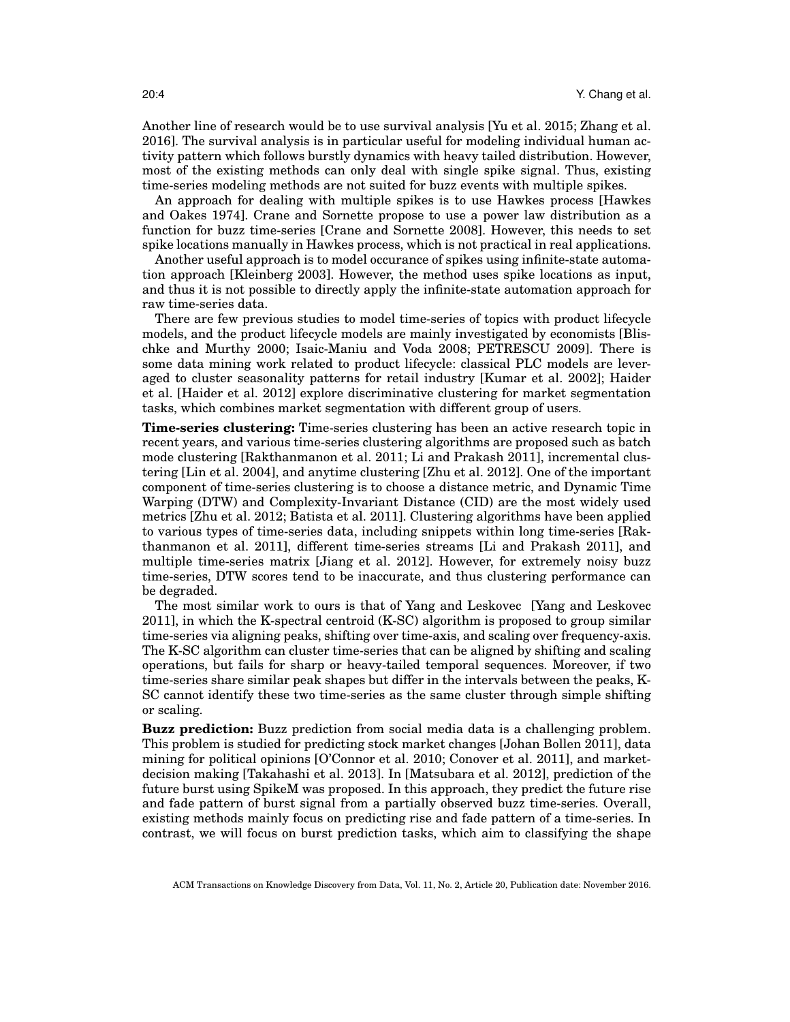Another line of research would be to use survival analysis [Yu et al. 2015; Zhang et al. 2016]. The survival analysis is in particular useful for modeling individual human activity pattern which follows burstly dynamics with heavy tailed distribution. However, most of the existing methods can only deal with single spike signal. Thus, existing time-series modeling methods are not suited for buzz events with multiple spikes.

An approach for dealing with multiple spikes is to use Hawkes process [Hawkes and Oakes 1974]. Crane and Sornette propose to use a power law distribution as a function for buzz time-series [Crane and Sornette 2008]. However, this needs to set spike locations manually in Hawkes process, which is not practical in real applications.

Another useful approach is to model occurance of spikes using infinite-state automation approach [Kleinberg 2003]. However, the method uses spike locations as input, and thus it is not possible to directly apply the infinite-state automation approach for raw time-series data.

There are few previous studies to model time-series of topics with product lifecycle models, and the product lifecycle models are mainly investigated by economists [Blischke and Murthy 2000; Isaic-Maniu and Voda 2008; PETRESCU 2009]. There is some data mining work related to product lifecycle: classical PLC models are leveraged to cluster seasonality patterns for retail industry [Kumar et al. 2002]; Haider et al. [Haider et al. 2012] explore discriminative clustering for market segmentation tasks, which combines market segmentation with different group of users.

**Time-series clustering:** Time-series clustering has been an active research topic in recent years, and various time-series clustering algorithms are proposed such as batch mode clustering [Rakthanmanon et al. 2011; Li and Prakash 2011], incremental clustering [Lin et al. 2004], and anytime clustering [Zhu et al. 2012]. One of the important component of time-series clustering is to choose a distance metric, and Dynamic Time Warping (DTW) and Complexity-Invariant Distance (CID) are the most widely used metrics [Zhu et al. 2012; Batista et al. 2011]. Clustering algorithms have been applied to various types of time-series data, including snippets within long time-series [Rakthanmanon et al. 2011], different time-series streams [Li and Prakash 2011], and multiple time-series matrix [Jiang et al. 2012]. However, for extremely noisy buzz time-series, DTW scores tend to be inaccurate, and thus clustering performance can be degraded.

The most similar work to ours is that of Yang and Leskovec [Yang and Leskovec 2011], in which the K-spectral centroid (K-SC) algorithm is proposed to group similar time-series via aligning peaks, shifting over time-axis, and scaling over frequency-axis. The K-SC algorithm can cluster time-series that can be aligned by shifting and scaling operations, but fails for sharp or heavy-tailed temporal sequences. Moreover, if two time-series share similar peak shapes but differ in the intervals between the peaks, K-SC cannot identify these two time-series as the same cluster through simple shifting or scaling.

**Buzz prediction:** Buzz prediction from social media data is a challenging problem. This problem is studied for predicting stock market changes [Johan Bollen 2011], data mining for political opinions [O'Connor et al. 2010; Conover et al. 2011], and marketdecision making [Takahashi et al. 2013]. In [Matsubara et al. 2012], prediction of the future burst using SpikeM was proposed. In this approach, they predict the future rise and fade pattern of burst signal from a partially observed buzz time-series. Overall, existing methods mainly focus on predicting rise and fade pattern of a time-series. In contrast, we will focus on burst prediction tasks, which aim to classifying the shape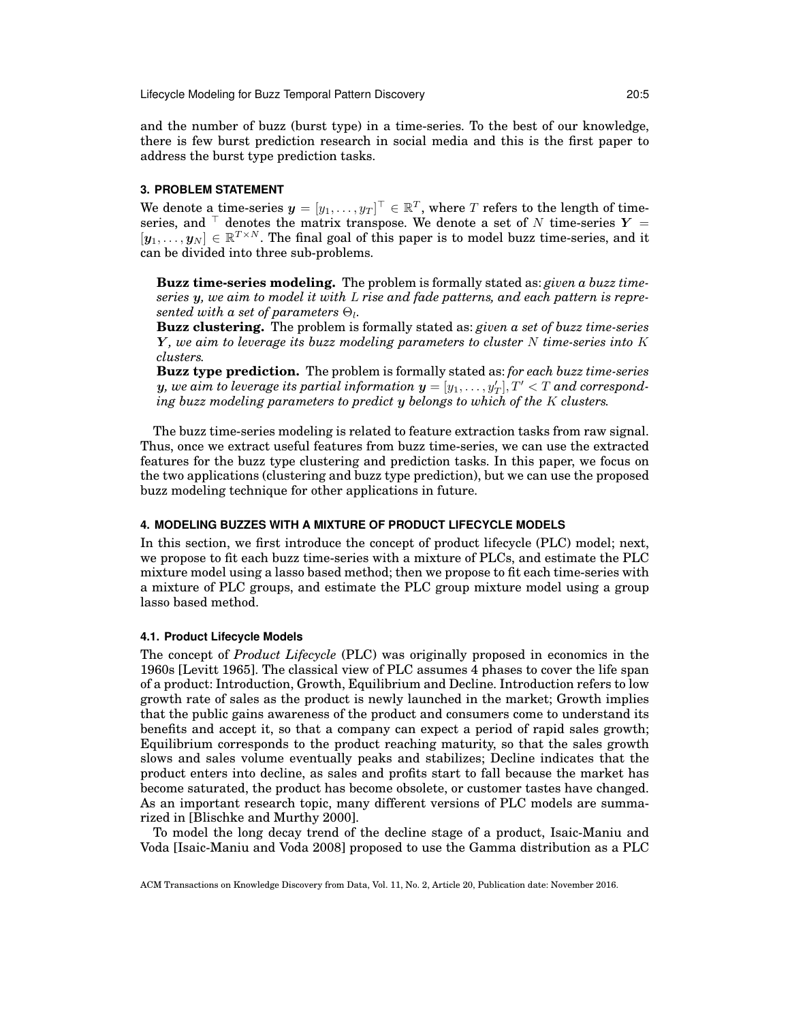and the number of buzz (burst type) in a time-series. To the best of our knowledge, there is few burst prediction research in social media and this is the first paper to address the burst type prediction tasks.

#### **3. PROBLEM STATEMENT**

We denote a time-series  $\pmb{y} = [y_1, \dots, y_T]^\top \in \mathbb{R}^T$ , where  $T$  refers to the length of timeseries, and  $\bar{ }$  denotes the matrix transpose. We denote a set of N time-series  $Y =$  $[y_1, \ldots, y_N] \in \mathbb{R}^{T \times N}$ . The final goal of this paper is to model buzz time-series, and it can be divided into three sub-problems.

**Buzz time-series modeling.** The problem is formally stated as: *given a buzz timeseries* y*, we aim to model it with* L *rise and fade patterns, and each pattern is repre* $sented\ with\ a\ set\ of\ parameters\ \Theta_l.$ 

**Buzz clustering.** The problem is formally stated as: *given a set of buzz time-series* Y *, we aim to leverage its buzz modeling parameters to cluster* N *time-series into* K *clusters.*

**Buzz type prediction.** The problem is formally stated as: *for each buzz time-series*  $\bm{y},$  we aim to leverage its partial information  $\bm{y} = [y_1, \dots, y_T'], T' < T$  and correspond*ing buzz modeling parameters to predict* y *belongs to which of the* K *clusters.*

The buzz time-series modeling is related to feature extraction tasks from raw signal. Thus, once we extract useful features from buzz time-series, we can use the extracted features for the buzz type clustering and prediction tasks. In this paper, we focus on the two applications (clustering and buzz type prediction), but we can use the proposed buzz modeling technique for other applications in future.

## **4. MODELING BUZZES WITH A MIXTURE OF PRODUCT LIFECYCLE MODELS**

In this section, we first introduce the concept of product lifecycle (PLC) model; next, we propose to fit each buzz time-series with a mixture of PLCs, and estimate the PLC mixture model using a lasso based method; then we propose to fit each time-series with a mixture of PLC groups, and estimate the PLC group mixture model using a group lasso based method.

#### **4.1. Product Lifecycle Models**

The concept of *Product Lifecycle* (PLC) was originally proposed in economics in the 1960s [Levitt 1965]. The classical view of PLC assumes 4 phases to cover the life span of a product: Introduction, Growth, Equilibrium and Decline. Introduction refers to low growth rate of sales as the product is newly launched in the market; Growth implies that the public gains awareness of the product and consumers come to understand its benefits and accept it, so that a company can expect a period of rapid sales growth; Equilibrium corresponds to the product reaching maturity, so that the sales growth slows and sales volume eventually peaks and stabilizes; Decline indicates that the product enters into decline, as sales and profits start to fall because the market has become saturated, the product has become obsolete, or customer tastes have changed. As an important research topic, many different versions of PLC models are summarized in [Blischke and Murthy 2000].

To model the long decay trend of the decline stage of a product, Isaic-Maniu and Voda [Isaic-Maniu and Voda 2008] proposed to use the Gamma distribution as a PLC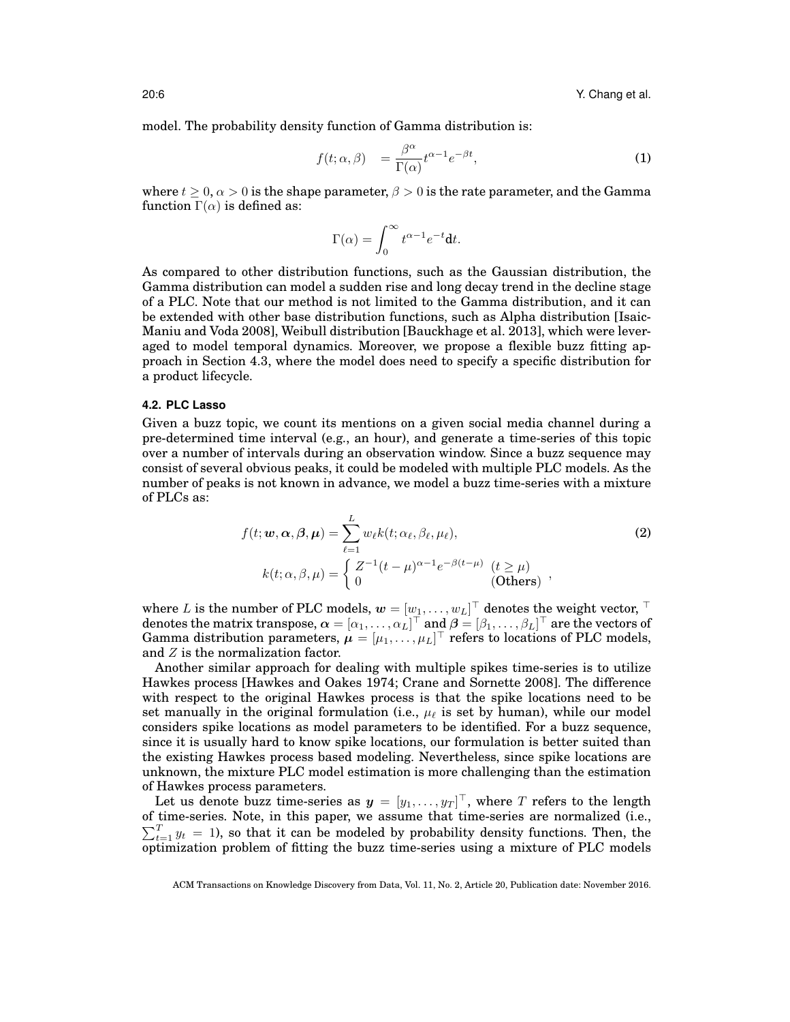model. The probability density function of Gamma distribution is:

$$
f(t; \alpha, \beta) = \frac{\beta^{\alpha}}{\Gamma(\alpha)} t^{\alpha - 1} e^{-\beta t}, \qquad (1)
$$

where  $t \geq 0$ ,  $\alpha > 0$  is the shape parameter,  $\beta > 0$  is the rate parameter, and the Gamma function  $\Gamma(\alpha)$  is defined as:

$$
\Gamma(\alpha) = \int_0^\infty t^{\alpha - 1} e^{-t} \mathbf{d} t.
$$

As compared to other distribution functions, such as the Gaussian distribution, the Gamma distribution can model a sudden rise and long decay trend in the decline stage of a PLC. Note that our method is not limited to the Gamma distribution, and it can be extended with other base distribution functions, such as Alpha distribution [Isaic-Maniu and Voda 2008], Weibull distribution [Bauckhage et al. 2013], which were leveraged to model temporal dynamics. Moreover, we propose a flexible buzz fitting approach in Section 4.3, where the model does need to specify a specific distribution for a product lifecycle.

## **4.2. PLC Lasso**

Given a buzz topic, we count its mentions on a given social media channel during a pre-determined time interval (e.g., an hour), and generate a time-series of this topic over a number of intervals during an observation window. Since a buzz sequence may consist of several obvious peaks, it could be modeled with multiple PLC models. As the number of peaks is not known in advance, we model a buzz time-series with a mixture of PLCs as:

$$
f(t; \mathbf{w}, \alpha, \beta, \mu) = \sum_{\ell=1}^{L} w_{\ell} k(t; \alpha_{\ell}, \beta_{\ell}, \mu_{\ell}),
$$
  
\n
$$
k(t; \alpha, \beta, \mu) = \begin{cases} Z^{-1}(t - \mu)^{\alpha - 1} e^{-\beta(t - \mu)} & (t \ge \mu) \\ 0 & (\text{Otherwise}) \end{cases},
$$
\n(2)

where  $L$  is the number of PLC models,  $\bm{w} = [w_1, \dots, w_L]^\top$  denotes the weight vector,  $^\top$ denotes the matrix transpose,  $\bm{\alpha}=[\alpha_1,\ldots,\alpha_L]^\top$  and  $\bm{\beta}=[\beta_1,\ldots,\beta_L]^\top$  are the vectors of Gamma distribution parameters,  $\mu = [\mu_1, \ldots, \mu_L]^\top$  refers to locations of PLC models, and Z is the normalization factor.

Another similar approach for dealing with multiple spikes time-series is to utilize Hawkes process [Hawkes and Oakes 1974; Crane and Sornette 2008]. The difference with respect to the original Hawkes process is that the spike locations need to be set manually in the original formulation (i.e.,  $\mu_{\ell}$  is set by human), while our model considers spike locations as model parameters to be identified. For a buzz sequence, since it is usually hard to know spike locations, our formulation is better suited than the existing Hawkes process based modeling. Nevertheless, since spike locations are unknown, the mixture PLC model estimation is more challenging than the estimation of Hawkes process parameters.

Let us denote buzz time-series as  $\bm{y} = [y_1, \dots, y_T]^\top$ , where  $T$  refers to the length of time-series. Note, in this paper, we assume that time-series are normalized (i.e.,  $\sum_{t=1}^{T} y_t = 1$ ), so that it can be modeled by probability density functions. Then, the optimization problem of fitting the buzz time-series using a mixture of PLC models

ACM Transactions on Knowledge Discovery from Data, Vol. 11, No. 2, Article 20, Publication date: November 2016.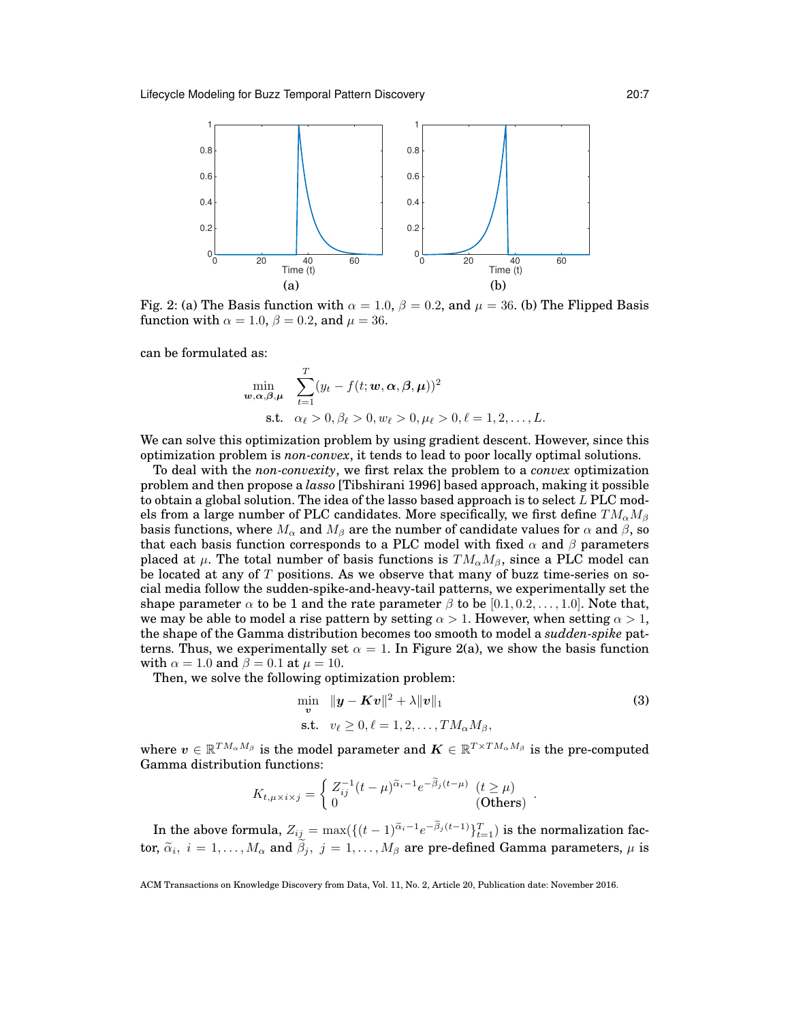

Fig. 2: (a) The Basis function with  $\alpha = 1.0$ ,  $\beta = 0.2$ , and  $\mu = 36$ . (b) The Flipped Basis function with  $\alpha = 1.0$ ,  $\beta = 0.2$ , and  $\mu = 36$ .

can be formulated as:

$$
\min_{\mathbf{w}, \alpha, \beta, \mu} \quad \sum_{t=1}^{T} (y_t - f(t; \mathbf{w}, \alpha, \beta, \mu))^2
$$
\n
$$
\text{s.t.} \quad \alpha_\ell > 0, \beta_\ell > 0, w_\ell > 0, \mu_\ell > 0, \ell = 1, 2, \dots, L.
$$

We can solve this optimization problem by using gradient descent. However, since this optimization problem is *non-convex*, it tends to lead to poor locally optimal solutions.

To deal with the *non-convexity*, we first relax the problem to a *convex* optimization problem and then propose a *lasso* [Tibshirani 1996] based approach, making it possible to obtain a global solution. The idea of the lasso based approach is to select  $L$  PLC models from a large number of PLC candidates. More specifically, we first define  $TM_{\alpha}M_{\beta}$ basis functions, where  $M_{\alpha}$  and  $M_{\beta}$  are the number of candidate values for  $\alpha$  and  $\beta$ , so that each basis function corresponds to a PLC model with fixed  $\alpha$  and  $\beta$  parameters placed at  $\mu$ . The total number of basis functions is  $TM_{\alpha}M_{\beta}$ , since a PLC model can be located at any of  $T$  positions. As we observe that many of buzz time-series on social media follow the sudden-spike-and-heavy-tail patterns, we experimentally set the shape parameter  $\alpha$  to be 1 and the rate parameter  $\beta$  to be [0.1, 0.2, ..., 1.0]. Note that, we may be able to model a rise pattern by setting  $\alpha > 1$ . However, when setting  $\alpha > 1$ , the shape of the Gamma distribution becomes too smooth to model a *sudden-spike* patterns. Thus, we experimentally set  $\alpha = 1$ . In Figure 2(a), we show the basis function with  $\alpha = 1.0$  and  $\beta = 0.1$  at  $\mu = 10$ .

Then, we solve the following optimization problem:

$$
\min_{\mathbf{v}} \quad \|\mathbf{y} - \mathbf{K}\mathbf{v}\|^2 + \lambda \|\mathbf{v}\|_1
$$
\n
$$
\text{s.t.} \quad v_\ell \ge 0, \ell = 1, 2, \dots, TM_\alpha M_\beta,
$$
\n
$$
(3)
$$

where  $v \in \mathbb{R}^{TM_{\alpha}M_{\beta}}$  is the model parameter and  $\pmb{K} \in \mathbb{R}^{T \times TM_{\alpha}M_{\beta}}$  is the pre-computed Gamma distribution functions:

$$
K_{t,\mu \times i \times j} = \begin{cases} Z_{ij}^{-1}(t-\mu)^{\widetilde{\alpha}_i-1} e^{-\widetilde{\beta}_j(t-\mu)} & (t \ge \mu) \\ 0 & \text{(Others)} \end{cases} \, .
$$

In the above formula,  $Z_{ij} = \max(\{(t-1)^{\widetilde{\alpha}_i-1}e^{-\beta_j(t-1)}\}_{t=1}^T)$  is the normalization factor,  $\widetilde{\alpha}_i$ ,  $i = 1, ..., M_{\alpha}$  and  $\beta_j$ ,  $j = 1, ..., M_{\beta}$  are pre-defined Gamma parameters,  $\mu$  is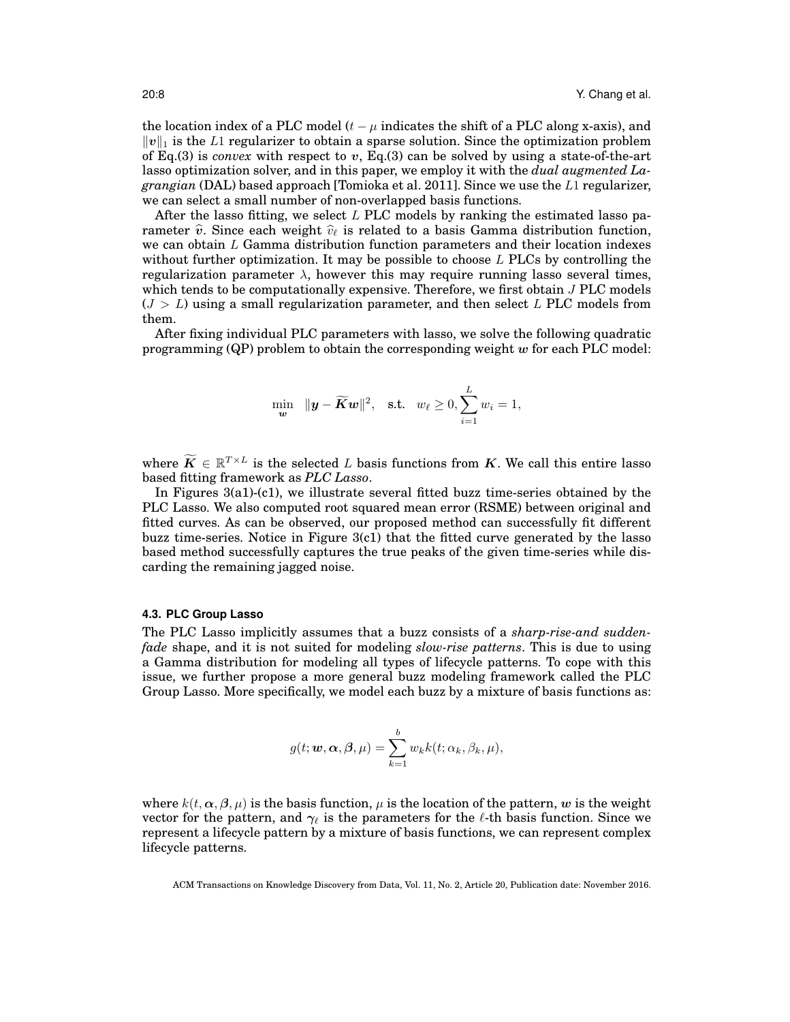the location index of a PLC model  $(t - \mu)$  indicates the shift of a PLC along x-axis), and  $||v||_1$  is the L1 regularizer to obtain a sparse solution. Since the optimization problem of Eq.(3) is *convex* with respect to v, Eq.(3) can be solved by using a state-of-the-art lasso optimization solver, and in this paper, we employ it with the *dual augmented Lagrangian* (DAL) based approach [Tomioka et al. 2011]. Since we use the L1 regularizer, we can select a small number of non-overlapped basis functions.

After the lasso fitting, we select  $L$  PLC models by ranking the estimated lasso parameter  $\hat{v}$ . Since each weight  $\hat{v}_\ell$  is related to a basis Gamma distribution function, we can obtain  $L$  Gamma distribution function parameters and their location indexes without further optimization. It may be possible to choose  $L$  PLCs by controlling the regularization parameter  $\lambda$ , however this may require running lasso several times, which tends to be computationally expensive. Therefore, we first obtain J PLC models  $(J > L)$  using a small regularization parameter, and then select L PLC models from them.

After fixing individual PLC parameters with lasso, we solve the following quadratic programming  $(QP)$  problem to obtain the corresponding weight w for each PLC model:

$$
\min_{\mathbf{w}} \quad \|\mathbf{y}-\widetilde{\mathbf{K}}\mathbf{w}\|^2, \quad \text{s.t.} \quad w_{\ell} \ge 0, \sum_{i=1}^L w_i = 1,
$$

where  $\widetilde{K} \in \mathbb{R}^{T \times L}$  is the selected L basis functions from K. We call this entire lasso based fitting framework as *PLC Lasso*.

In Figures 3(a1)-(c1), we illustrate several fitted buzz time-series obtained by the PLC Lasso. We also computed root squared mean error (RSME) between original and fitted curves. As can be observed, our proposed method can successfully fit different buzz time-series. Notice in Figure 3(c1) that the fitted curve generated by the lasso based method successfully captures the true peaks of the given time-series while discarding the remaining jagged noise.

#### **4.3. PLC Group Lasso**

The PLC Lasso implicitly assumes that a buzz consists of a *sharp-rise-and suddenfade* shape, and it is not suited for modeling *slow-rise patterns*. This is due to using a Gamma distribution for modeling all types of lifecycle patterns. To cope with this issue, we further propose a more general buzz modeling framework called the PLC Group Lasso. More specifically, we model each buzz by a mixture of basis functions as:

$$
g(t; \mathbf{w}, \boldsymbol{\alpha}, \boldsymbol{\beta}, \mu) = \sum_{k=1}^{b} w_k k(t; \alpha_k, \beta_k, \mu),
$$

where  $k(t, \alpha, \beta, \mu)$  is the basis function,  $\mu$  is the location of the pattern, w is the weight vector for the pattern, and  $\gamma_{\ell}$  is the parameters for the  $\ell$ -th basis function. Since we represent a lifecycle pattern by a mixture of basis functions, we can represent complex lifecycle patterns.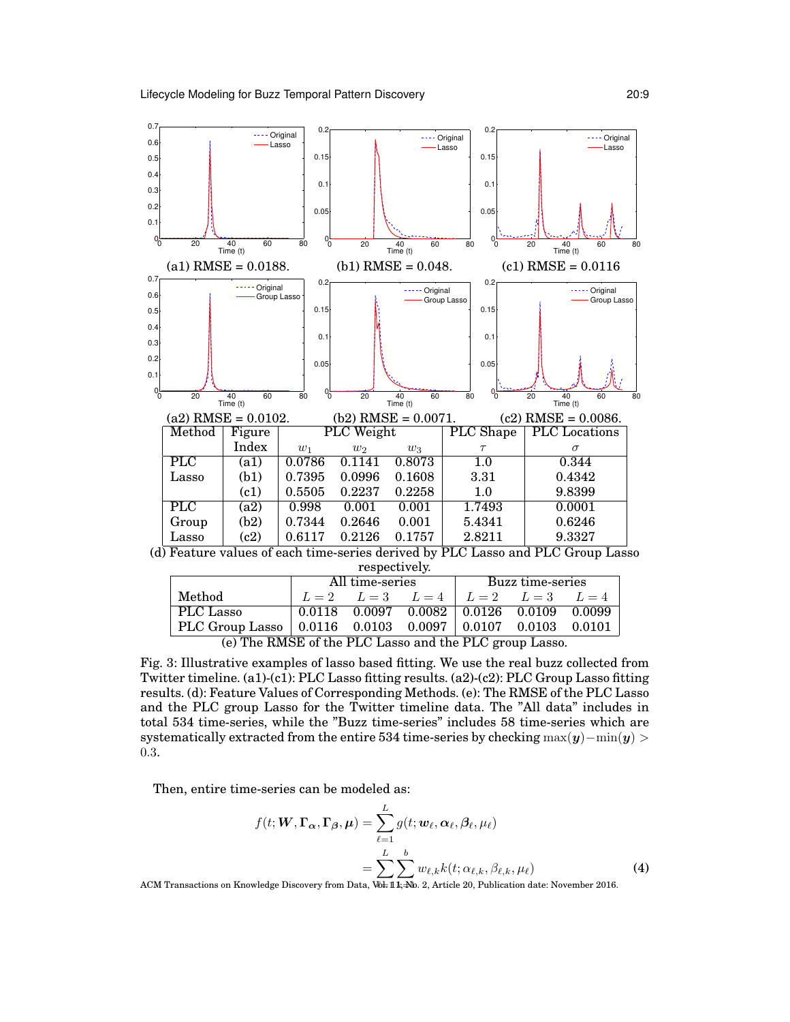

(d) Feature values of each time-series derived by PLC Lasso and PLC Group Lasso respectively.

|                                                                 | All time-series |  |                                                       | Buzz time-series |  |  |
|-----------------------------------------------------------------|-----------------|--|-------------------------------------------------------|------------------|--|--|
| Method                                                          |                 |  | $L = 2$ $L = 3$ $L = 4$ $L = 2$ $L = 3$ $L = 4$       |                  |  |  |
| PLC Lasso                                                       |                 |  | $0.0118$ $0.0097$ $0.0082$ $0.0126$ $0.0109$ $0.0099$ |                  |  |  |
| PLC Group Lasso   $0.0116$ 0.0103 0.0097   0.0107 0.0103 0.0101 |                 |  |                                                       |                  |  |  |
| (e) The RMSE of the PLC Lasso and the PLC group Lasso           |                 |  |                                                       |                  |  |  |

(e) The RMSE of the PLC Lasso and the PLC group Lasso.

Fig. 3: Illustrative examples of lasso based fitting. We use the real buzz collected from Twitter timeline. (a1)-(c1): PLC Lasso fitting results. (a2)-(c2): PLC Group Lasso fitting results. (d): Feature Values of Corresponding Methods. (e): The RMSE of the PLC Lasso and the PLC group Lasso for the Twitter timeline data. The "All data" includes in total 534 time-series, while the "Buzz time-series" includes 58 time-series which are systematically extracted from the entire 534 time-series by checking  $\max(y)-\min(y)$ 0.3.

Then, entire time-series can be modeled as:

$$
f(t; \mathbf{W}, \mathbf{\Gamma}_{\alpha}, \mathbf{\Gamma}_{\beta}, \boldsymbol{\mu}) = \sum_{\ell=1}^{L} g(t; \mathbf{w}_{\ell}, \alpha_{\ell}, \beta_{\ell}, \mu_{\ell})
$$

$$
= \sum_{\ell=1}^{L} \sum_{\mathbf{x} \in \mathbb{R}^{L}} w_{\ell,k} k(t; \alpha_{\ell,k}, \beta_{\ell,k}, \mu_{\ell})
$$
(4)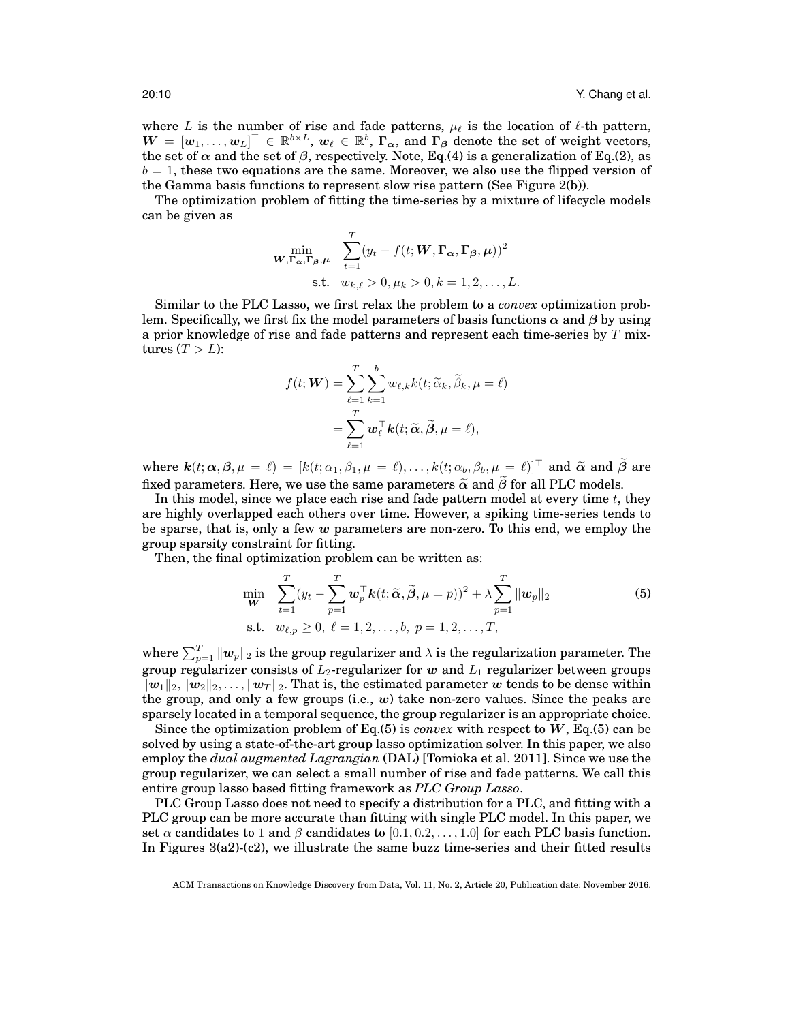where L is the number of rise and fade patterns,  $\mu_{\ell}$  is the location of  $\ell$ -th pattern,  $W = [w_1, \ldots, w_L]^\top \in \mathbb{R}^{b \times L}, w_{\ell} \in \mathbb{R}^b, \Gamma_{\alpha}$ , and  $\Gamma_{\beta}$  denote the set of weight vectors, the set of  $\alpha$  and the set of  $\beta$ , respectively. Note, Eq.(4) is a generalization of Eq.(2), as  $b = 1$ , these two equations are the same. Moreover, we also use the flipped version of the Gamma basis functions to represent slow rise pattern (See Figure 2(b)).

The optimization problem of fitting the time-series by a mixture of lifecycle models can be given as

$$
\min_{\mathbf{W}, \mathbf{\Gamma}_{\alpha}, \mathbf{\Gamma}_{\beta}, \mu} \quad \sum_{t=1}^{T} (y_t - f(t; \mathbf{W}, \mathbf{\Gamma}_{\alpha}, \mathbf{\Gamma}_{\beta}, \mu))^2
$$
\n
$$
\text{s.t.} \quad w_{k,\ell} > 0, \mu_k > 0, k = 1, 2, \dots, L.
$$

Similar to the PLC Lasso, we first relax the problem to a *convex* optimization problem. Specifically, we first fix the model parameters of basis functions  $\alpha$  and  $\beta$  by using a prior knowledge of rise and fade patterns and represent each time-series by  $T$  mixtures  $(T > L)$ :

$$
f(t; \mathbf{W}) = \sum_{\ell=1}^{T} \sum_{k=1}^{b} w_{\ell,k} k(t; \widetilde{\alpha}_k, \widetilde{\beta}_k, \mu = \ell)
$$
  
= 
$$
\sum_{\ell=1}^{T} \mathbf{w}_{\ell}^{\top} \mathbf{k}(t; \widetilde{\alpha}, \widetilde{\beta}, \mu = \ell),
$$

where  $k(t; \alpha, \beta, \mu = \ell) = [k(t; \alpha_1, \beta_1, \mu = \ell), \dots, k(t; \alpha_b, \beta_b, \mu = \ell)]^{\top}$  and  $\tilde{\alpha}$  and  $\tilde{\beta}$  are fixed parameters. Here, we use the same parameters  $\tilde{\alpha}$  and  $\tilde{\beta}$  for all PLC models.

In this model, since we place each rise and fade pattern model at every time  $t$ , they are highly overlapped each others over time. However, a spiking time-series tends to be sparse, that is, only a few  $w$  parameters are non-zero. To this end, we employ the group sparsity constraint for fitting.

Then, the final optimization problem can be written as:

$$
\min_{\mathbf{W}} \quad \sum_{t=1}^{T} (y_t - \sum_{p=1}^{T} \mathbf{w}_p^{\top} \mathbf{k}(t; \widetilde{\alpha}, \widetilde{\beta}, \mu = p))^2 + \lambda \sum_{p=1}^{T} \|\mathbf{w}_p\|_2
$$
\n
$$
\text{s.t.} \quad w_{\ell, p} \ge 0, \ \ell = 1, 2, \dots, b, \ p = 1, 2, \dots, T,
$$
\n
$$
(5)
$$

where  $\sum_{p=1}^T \| \bm{w}_p \|_2$  is the group regularizer and  $\lambda$  is the regularization parameter. The group regularizer consists of  $L_2$ -regularizer for w and  $L_1$  regularizer between groups  $\|w_1\|_2, \|w_2\|_2, \ldots, \|w_T\|_2$ . That is, the estimated parameter w tends to be dense within the group, and only a few groups (i.e.,  $w$ ) take non-zero values. Since the peaks are sparsely located in a temporal sequence, the group regularizer is an appropriate choice.

Since the optimization problem of  $Eq.(5)$  is *convex* with respect to W,  $Eq.(5)$  can be solved by using a state-of-the-art group lasso optimization solver. In this paper, we also employ the *dual augmented Lagrangian* (DAL) [Tomioka et al. 2011]. Since we use the group regularizer, we can select a small number of rise and fade patterns. We call this entire group lasso based fitting framework as *PLC Group Lasso*.

PLC Group Lasso does not need to specify a distribution for a PLC, and fitting with a PLC group can be more accurate than fitting with single PLC model. In this paper, we set  $\alpha$  candidates to 1 and  $\beta$  candidates to [0.1, 0.2, . . . , 1.0] for each PLC basis function. In Figures 3(a2)-(c2), we illustrate the same buzz time-series and their fitted results

ACM Transactions on Knowledge Discovery from Data, Vol. 11, No. 2, Article 20, Publication date: November 2016.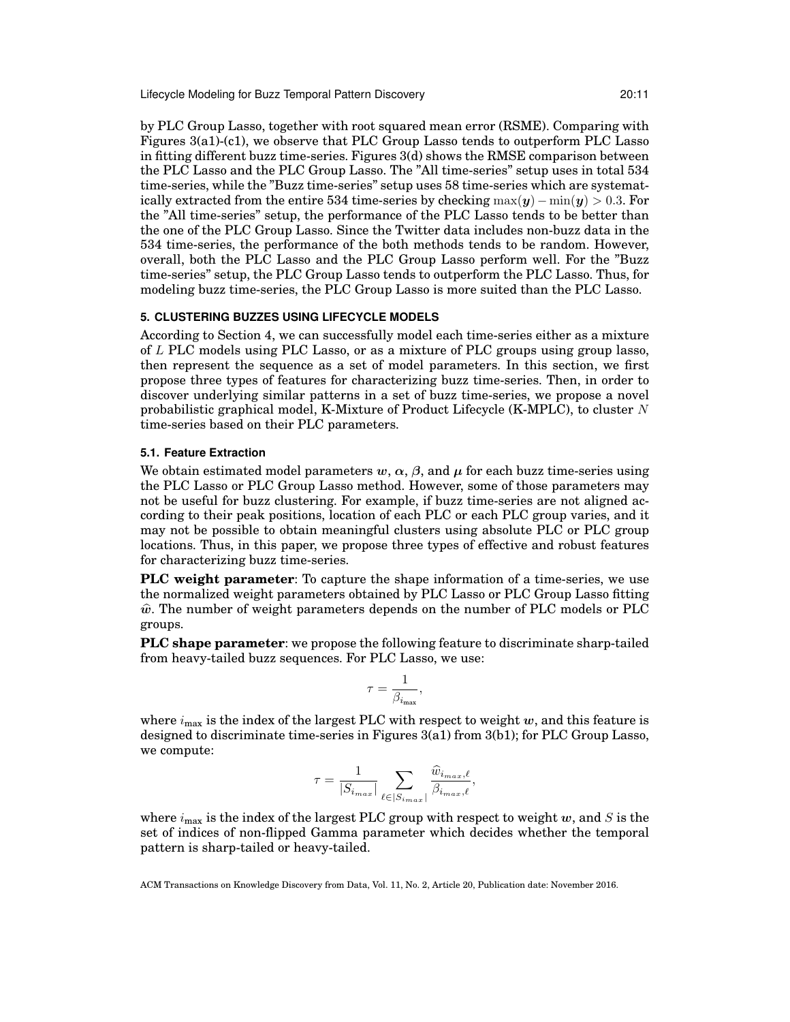Lifecycle Modeling for Buzz Temporal Pattern Discovery 20:11

by PLC Group Lasso, together with root squared mean error (RSME). Comparing with Figures 3(a1)-(c1), we observe that PLC Group Lasso tends to outperform PLC Lasso in fitting different buzz time-series. Figures 3(d) shows the RMSE comparison between the PLC Lasso and the PLC Group Lasso. The "All time-series" setup uses in total 534 time-series, while the "Buzz time-series" setup uses 58 time-series which are systematically extracted from the entire 534 time-series by checking  $max(\boldsymbol{y}) - min(\boldsymbol{y}) > 0.3$ . For the "All time-series" setup, the performance of the PLC Lasso tends to be better than the one of the PLC Group Lasso. Since the Twitter data includes non-buzz data in the 534 time-series, the performance of the both methods tends to be random. However, overall, both the PLC Lasso and the PLC Group Lasso perform well. For the "Buzz time-series" setup, the PLC Group Lasso tends to outperform the PLC Lasso. Thus, for modeling buzz time-series, the PLC Group Lasso is more suited than the PLC Lasso.

## **5. CLUSTERING BUZZES USING LIFECYCLE MODELS**

According to Section 4, we can successfully model each time-series either as a mixture of L PLC models using PLC Lasso, or as a mixture of PLC groups using group lasso, then represent the sequence as a set of model parameters. In this section, we first propose three types of features for characterizing buzz time-series. Then, in order to discover underlying similar patterns in a set of buzz time-series, we propose a novel probabilistic graphical model, K-Mixture of Product Lifecycle (K-MPLC), to cluster N time-series based on their PLC parameters.

## **5.1. Feature Extraction**

We obtain estimated model parameters  $w, \alpha, \beta$ , and  $\mu$  for each buzz time-series using the PLC Lasso or PLC Group Lasso method. However, some of those parameters may not be useful for buzz clustering. For example, if buzz time-series are not aligned according to their peak positions, location of each PLC or each PLC group varies, and it may not be possible to obtain meaningful clusters using absolute PLC or PLC group locations. Thus, in this paper, we propose three types of effective and robust features for characterizing buzz time-series.

**PLC weight parameter**: To capture the shape information of a time-series, we use the normalized weight parameters obtained by PLC Lasso or PLC Group Lasso fitting  $\hat{w}$ . The number of weight parameters depends on the number of PLC models or PLC groups.

**PLC shape parameter**: we propose the following feature to discriminate sharp-tailed from heavy-tailed buzz sequences. For PLC Lasso, we use:

$$
\tau = \frac{1}{\beta_{i_{\max}}},
$$

where  $i_{\text{max}}$  is the index of the largest PLC with respect to weight w, and this feature is designed to discriminate time-series in Figures 3(a1) from 3(b1); for PLC Group Lasso, we compute:

$$
\tau = \frac{1}{|S_{i_{max}}|} \sum_{\ell \in |S_{i_{max}}|} \frac{\widehat{w}_{i_{max},\ell}}{\beta_{i_{max},\ell}},
$$

where  $i_{\text{max}}$  is the index of the largest PLC group with respect to weight w, and S is the set of indices of non-flipped Gamma parameter which decides whether the temporal pattern is sharp-tailed or heavy-tailed.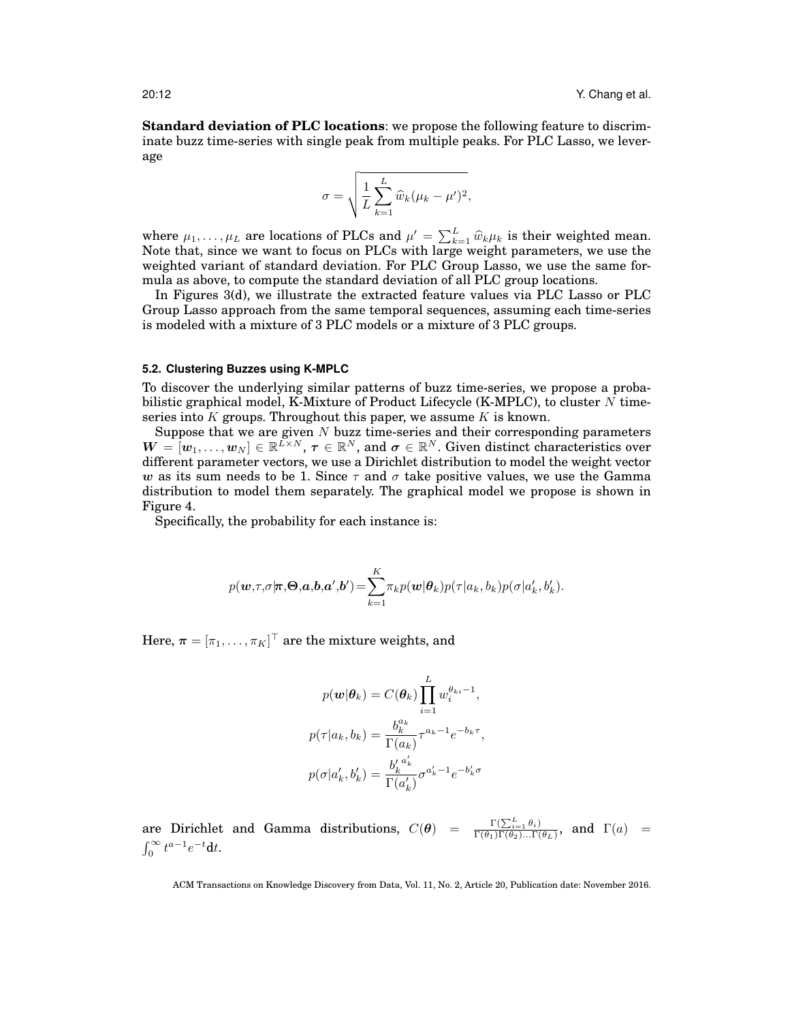**Standard deviation of PLC locations**: we propose the following feature to discriminate buzz time-series with single peak from multiple peaks. For PLC Lasso, we leverage

$$
\sigma = \sqrt{\frac{1}{L} \sum_{k=1}^{L} \widehat{w}_k (\mu_k - \mu')^2},
$$

where  $\mu_1, \ldots, \mu_L$  are locations of PLCs and  $\mu' = \sum_{k=1}^L \hat{w}_k \mu_k$  is their weighted mean.<br>Note that, since we want to focus on PLCs with large weight parameters, we use the weighted variant of standard deviation. For PLC Group Lasso, we use the same formula as above, to compute the standard deviation of all PLC group locations.

In Figures 3(d), we illustrate the extracted feature values via PLC Lasso or PLC Group Lasso approach from the same temporal sequences, assuming each time-series is modeled with a mixture of 3 PLC models or a mixture of 3 PLC groups.

#### **5.2. Clustering Buzzes using K-MPLC**

To discover the underlying similar patterns of buzz time-series, we propose a probabilistic graphical model, K-Mixture of Product Lifecycle (K-MPLC), to cluster  $N$  timeseries into  $K$  groups. Throughout this paper, we assume  $K$  is known.

Suppose that we are given  $N$  buzz time-series and their corresponding parameters  $\boldsymbol{W} = [\boldsymbol{w}_1,\ldots,\boldsymbol{w}_N] \in \mathbb{R}^{L \times N}, \ \boldsymbol{\tau} \in \mathbb{R}^N, \ \text{and} \ \boldsymbol{\sigma} \in \mathbb{R}^N.$  Given distinct characteristics over different parameter vectors, we use a Dirichlet distribution to model the weight vector w as its sum needs to be 1. Since  $\tau$  and  $\sigma$  take positive values, we use the Gamma distribution to model them separately. The graphical model we propose is shown in Figure 4.

Specifically, the probability for each instance is:

$$
p(\boldsymbol{w}, \tau, \sigma | \boldsymbol{\pi}, \boldsymbol{\Theta}, \boldsymbol{a}, \boldsymbol{b}, \boldsymbol{a}', \boldsymbol{b}') = \sum_{k=1}^{K} \pi_k p(\boldsymbol{w} | \boldsymbol{\theta}_k) p(\tau | a_k, b_k) p(\sigma | a'_k, b'_k).
$$

Here,  $\boldsymbol{\pi} = [\pi_1, \dots, \pi_K]^\top$  are the mixture weights, and

$$
p(\mathbf{w}|\boldsymbol{\theta}_k) = C(\boldsymbol{\theta}_k) \prod_{i=1}^L w_i^{\theta_{ki}-1},
$$

$$
p(\tau|a_k, b_k) = \frac{b_k^{a_k}}{\Gamma(a_k)} \tau^{a_k-1} e^{-b_k \tau},
$$

$$
p(\sigma|a'_k, b'_k) = \frac{b'_k^{a'_k}}{\Gamma(a'_k)} \sigma^{a'_k-1} e^{-b'_k \sigma}
$$

are Dirichlet and Gamma distributions,  $C(\theta) = \frac{\Gamma(\sum_{i=1}^{L} \theta_i)}{\Gamma(\theta_1) \Gamma(\theta_2) \dots \Gamma(\theta_L)},$  and  $\Gamma(a) =$  $\int_0^\infty t^{a-1}e^{-t}dt.$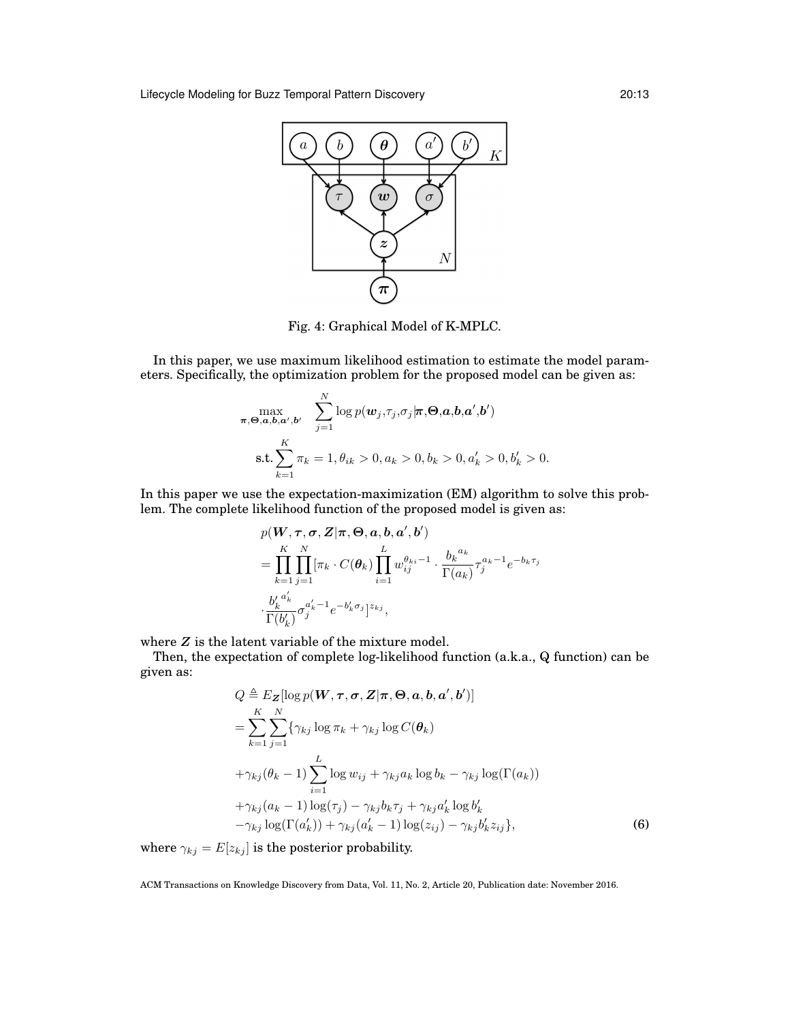

Fig. 4: Graphical Model of K-MPLC.

In this paper, we use maximum likelihood estimation to estimate the model parameters. Specifically, the optimization problem for the proposed model can be given as:

$$
\max_{\boldsymbol{\pi},\boldsymbol{\Theta},\boldsymbol{a},\boldsymbol{b},\boldsymbol{a}',\boldsymbol{b}'} \quad \sum_{j=1}^N \log p(\boldsymbol{w}_j,\tau_j,\sigma_j | \boldsymbol{\pi},\boldsymbol{\Theta},\boldsymbol{a},\boldsymbol{b},\boldsymbol{a}',\boldsymbol{b}'))
$$
\n
$$
\text{s.t.} \sum_{k=1}^K \pi_k = 1, \theta_{ik} > 0, a_k > 0, b_k > 0, a'_k > 0, b'_k > 0.
$$

In this paper we use the expectation-maximization (EM) algorithm to solve this problem. The complete likelihood function of the proposed model is given as:

$$
p(\boldsymbol{W}, \boldsymbol{\tau}, \boldsymbol{\sigma}, \boldsymbol{Z} | \boldsymbol{\pi}, \boldsymbol{\Theta}, \boldsymbol{a}, \boldsymbol{b}, \boldsymbol{a}', \boldsymbol{b}')
$$
  
\n
$$
= \prod_{k=1}^{K} \prod_{j=1}^{N} [\pi_k \cdot C(\boldsymbol{\theta}_k) \prod_{i=1}^{L} w_{ij}^{\theta_{ki}-1} \cdot \frac{b_k^{a_k}}{\Gamma(a_k)} \tau_j^{a_k-1} e^{-b_k \tau_j}
$$
  
\n
$$
\cdot \frac{b'_k^{a'_k}}{\Gamma(b'_k)} \sigma_j^{a'_k-1} e^{-b'_k \sigma_j} \big]^{z_{kj}},
$$

where  $Z$  is the latent variable of the mixture model.

Then, the expectation of complete log-likelihood function (a.k.a., Q function) can be given as:

$$
Q \triangleq E_{\mathbf{Z}}[\log p(\mathbf{W}, \boldsymbol{\tau}, \boldsymbol{\sigma}, \mathbf{Z} | \boldsymbol{\pi}, \boldsymbol{\Theta}, \boldsymbol{a}, \boldsymbol{b}, \boldsymbol{a}', \boldsymbol{b}')] = \sum_{k=1}^{K} \sum_{j=1}^{N} \{ \gamma_{kj} \log \pi_k + \gamma_{kj} \log C(\boldsymbol{\theta}_k) + \gamma_{kj} (\theta_k - 1) \sum_{i=1}^{L} \log w_{ij} + \gamma_{kj} a_k \log b_k - \gamma_{kj} \log(\Gamma(a_k)) + \gamma_{kj} (a_k - 1) \log(\tau_j) - \gamma_{kj} b_k \tau_j + \gamma_{kj} a'_k \log b'_k - \gamma_{kj} \log(\Gamma(a'_k)) + \gamma_{kj} (a'_k - 1) \log(z_{ij}) - \gamma_{kj} b'_k z_{ij} \},
$$
(6)

where  $\gamma_{kj} = E[z_{kj}]$  is the posterior probability.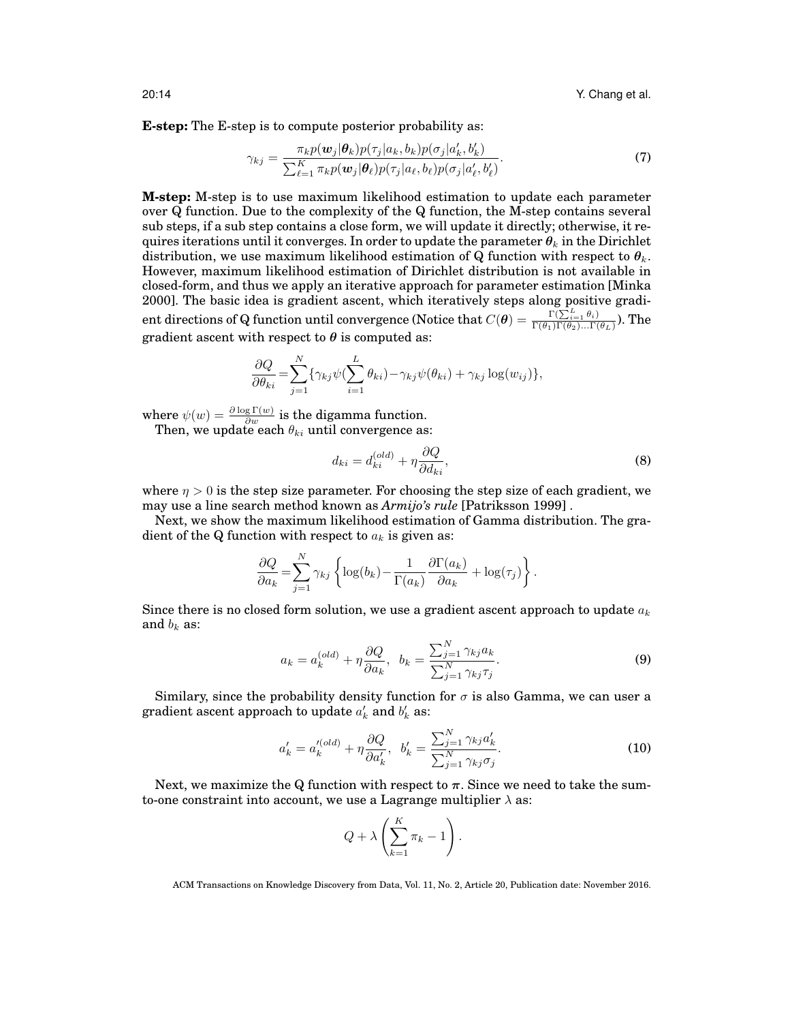**E-step:** The E-step is to compute posterior probability as:

$$
\gamma_{kj} = \frac{\pi_k p(\boldsymbol{w}_j | \boldsymbol{\theta}_k) p(\tau_j | a_k, b_k) p(\sigma_j | a'_k, b'_k)}{\sum_{\ell=1}^K \pi_k p(\boldsymbol{w}_j | \boldsymbol{\theta}_\ell) p(\tau_j | a_\ell, b_\ell) p(\sigma_j | a'_\ell, b'_\ell)}.
$$
\n(7)

**M-step:** M-step is to use maximum likelihood estimation to update each parameter over Q function. Due to the complexity of the Q function, the M-step contains several sub steps, if a sub step contains a close form, we will update it directly; otherwise, it requires iterations until it converges. In order to update the parameter  $\theta_k$  in the Dirichlet distribution, we use maximum likelihood estimation of Q function with respect to  $\theta_k$ . However, maximum likelihood estimation of Dirichlet distribution is not available in closed-form, and thus we apply an iterative approach for parameter estimation [Minka 2000]. The basic idea is gradient ascent, which iteratively steps along positive gradi- $\text{ent directions of Q function until convergence (Notice that } C(\boldsymbol{\theta}) = \frac{\Gamma(\sum_{i=1}^L \theta_i)}{\Gamma(\theta_1)\Gamma(\theta_2)...\Gamma(\theta_L)}). \text{ The}$ gradient ascent with respect to  $\theta$  is computed as:

$$
\frac{\partial Q}{\partial \theta_{ki}} = \sum_{j=1}^{N} \{ \gamma_{kj} \psi(\sum_{i=1}^{L} \theta_{ki}) - \gamma_{kj} \psi(\theta_{ki}) + \gamma_{kj} \log(w_{ij}) \},\
$$

where  $\psi(w) = \frac{\partial \log \Gamma(w)}{\partial w}$  is the digamma function.

Then, we update each  $\theta_{ki}$  until convergence as:

$$
d_{ki} = d_{ki}^{(old)} + \eta \frac{\partial Q}{\partial d_{ki}},
$$
\n(8)

where  $\eta > 0$  is the step size parameter. For choosing the step size of each gradient, we may use a line search method known as *Armijo's rule* [Patriksson 1999] .

Next, we show the maximum likelihood estimation of Gamma distribution. The gradient of the Q function with respect to  $a_k$  is given as:

$$
\frac{\partial Q}{\partial a_k} = \sum_{j=1}^N \gamma_{kj} \left\{ \log(b_k) - \frac{1}{\Gamma(a_k)} \frac{\partial \Gamma(a_k)}{\partial a_k} + \log(\tau_j) \right\}.
$$

Since there is no closed form solution, we use a gradient ascent approach to update  $a_k$ and  $b_k$  as:

$$
a_k = a_k^{(old)} + \eta \frac{\partial Q}{\partial a_k}, \quad b_k = \frac{\sum_{j=1}^N \gamma_{kj} a_k}{\sum_{j=1}^N \gamma_{kj} \tau_j}.
$$
 (9)

Similary, since the probability density function for  $\sigma$  is also Gamma, we can user a gradient ascent approach to update  $a_k'$  and  $b_k'$  as:

$$
a'_k = a'^{(old)}_k + \eta \frac{\partial Q}{\partial a'_k}, \ \ b'_k = \frac{\sum_{j=1}^N \gamma_{kj} a'_k}{\sum_{j=1}^N \gamma_{kj} \sigma_j}.
$$
 (10)

Next, we maximize the Q function with respect to  $\pi$ . Since we need to take the sumto-one constraint into account, we use a Lagrange multiplier  $\lambda$  as:

$$
Q + \lambda \left(\sum_{k=1}^K \pi_k - 1\right).
$$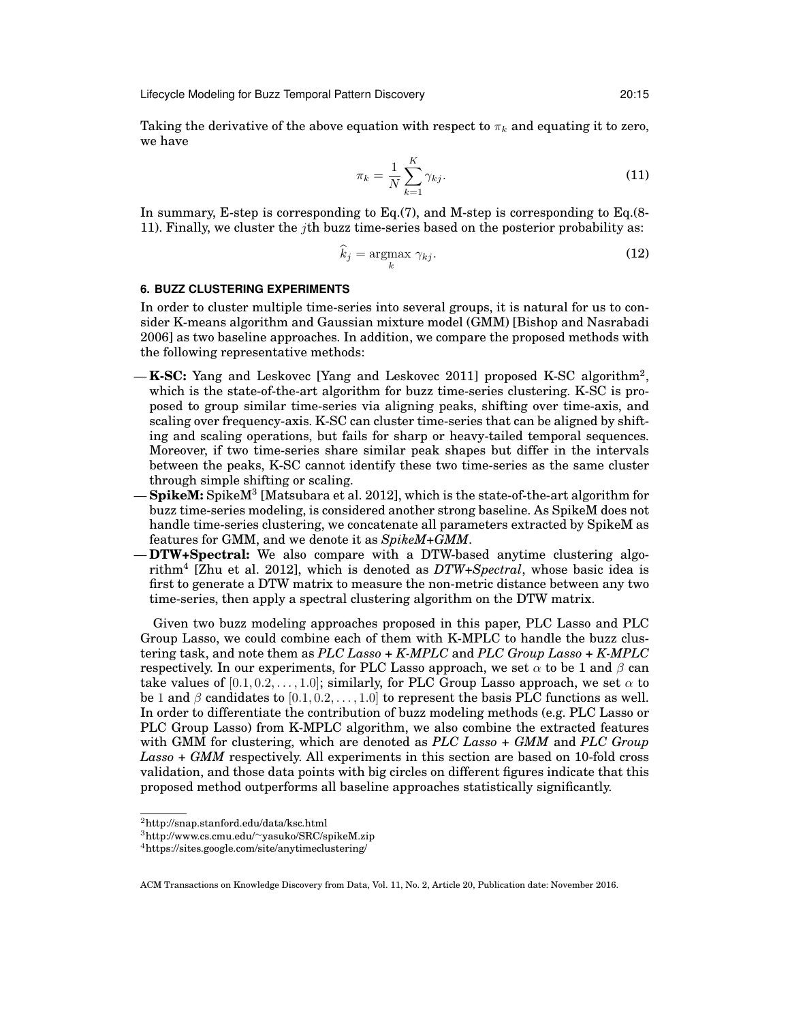Lifecycle Modeling for Buzz Temporal Pattern Discovery 20:15

Taking the derivative of the above equation with respect to  $\pi_k$  and equating it to zero, we have

$$
\pi_k = \frac{1}{N} \sum_{k=1}^{K} \gamma_{kj}.
$$
\n(11)

In summary, E-step is corresponding to Eq.(7), and M-step is corresponding to Eq.(8- 11). Finally, we cluster the jth buzz time-series based on the posterior probability as:

$$
\widehat{k}_j = \underset{k}{\operatorname{argmax}} \ \gamma_{kj}.\tag{12}
$$

## **6. BUZZ CLUSTERING EXPERIMENTS**

In order to cluster multiple time-series into several groups, it is natural for us to consider K-means algorithm and Gaussian mixture model (GMM) [Bishop and Nasrabadi 2006] as two baseline approaches. In addition, we compare the proposed methods with the following representative methods:

- **K-SC:** Yang and Leskovec [Yang and Leskovec 2011] proposed K-SC algorithm<sup>2</sup> , which is the state-of-the-art algorithm for buzz time-series clustering. K-SC is proposed to group similar time-series via aligning peaks, shifting over time-axis, and scaling over frequency-axis. K-SC can cluster time-series that can be aligned by shifting and scaling operations, but fails for sharp or heavy-tailed temporal sequences. Moreover, if two time-series share similar peak shapes but differ in the intervals between the peaks, K-SC cannot identify these two time-series as the same cluster through simple shifting or scaling.
- **SpikeM:** SpikeM<sup>3</sup> [Matsubara et al. 2012], which is the state-of-the-art algorithm for buzz time-series modeling, is considered another strong baseline. As SpikeM does not handle time-series clustering, we concatenate all parameters extracted by SpikeM as features for GMM, and we denote it as *SpikeM+GMM*.
- **DTW+Spectral:** We also compare with a DTW-based anytime clustering algorithm<sup>4</sup> [Zhu et al. 2012], which is denoted as *DTW+Spectral*, whose basic idea is first to generate a DTW matrix to measure the non-metric distance between any two time-series, then apply a spectral clustering algorithm on the DTW matrix.

Given two buzz modeling approaches proposed in this paper, PLC Lasso and PLC Group Lasso, we could combine each of them with K-MPLC to handle the buzz clustering task, and note them as *PLC Lasso + K-MPLC* and *PLC Group Lasso + K-MPLC* respectively. In our experiments, for PLC Lasso approach, we set  $\alpha$  to be 1 and  $\beta$  can take values of  $[0.1, 0.2, \ldots, 1.0]$ ; similarly, for PLC Group Lasso approach, we set  $\alpha$  to be 1 and  $\beta$  candidates to  $[0.1, 0.2, \ldots, 1.0]$  to represent the basis PLC functions as well. In order to differentiate the contribution of buzz modeling methods (e.g. PLC Lasso or PLC Group Lasso) from K-MPLC algorithm, we also combine the extracted features with GMM for clustering, which are denoted as *PLC Lasso + GMM* and *PLC Group Lasso + GMM* respectively. All experiments in this section are based on 10-fold cross validation, and those data points with big circles on different figures indicate that this proposed method outperforms all baseline approaches statistically significantly.

<sup>2</sup>http://snap.stanford.edu/data/ksc.html

<sup>3</sup>http://www.cs.cmu.edu/∼yasuko/SRC/spikeM.zip

<sup>4</sup>https://sites.google.com/site/anytimeclustering/

ACM Transactions on Knowledge Discovery from Data, Vol. 11, No. 2, Article 20, Publication date: November 2016.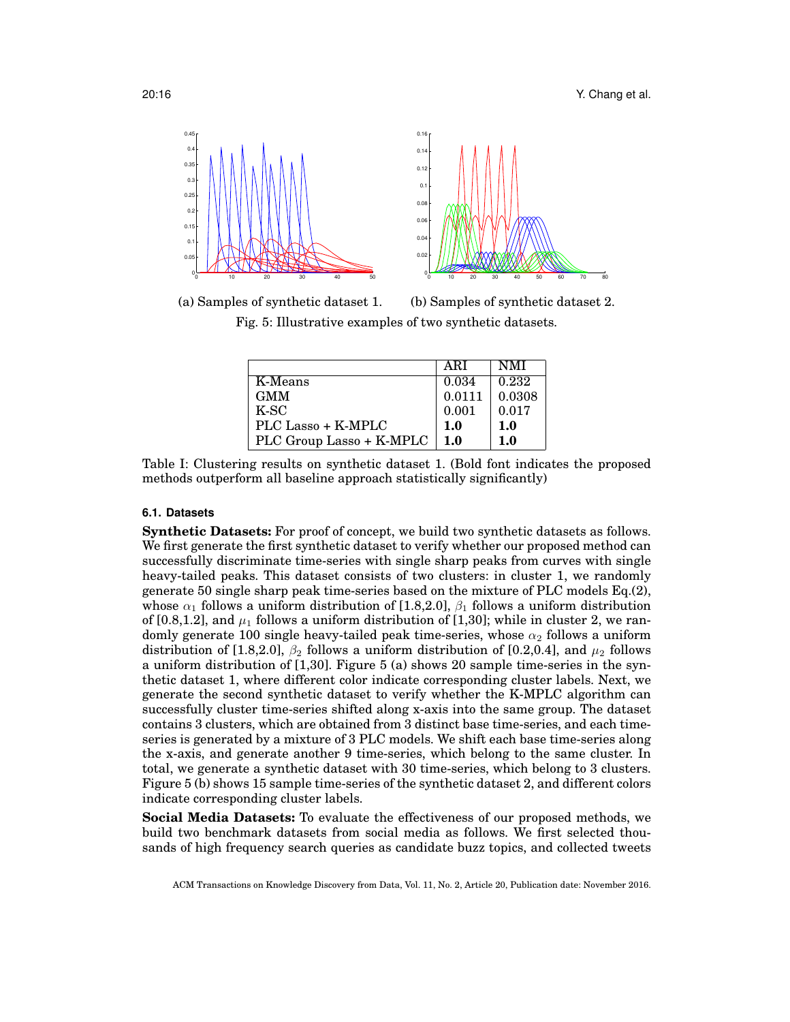

(a) Samples of synthetic dataset 1. (b) Samples of synthetic dataset 2.

Fig. 5: Illustrative examples of two synthetic datasets.

|                          | ARI    | <b>NMI</b> |
|--------------------------|--------|------------|
| K-Means                  | 0.034  | 0.232      |
| <b>GMM</b>               | 0.0111 | 0.0308     |
| K-SC                     | 0.001  | 0.017      |
| PLC Lasso + K-MPLC       | 1.0    | 1.0        |
| PLC Group Lasso + K-MPLC | 1.0    | 1.0        |

Table I: Clustering results on synthetic dataset 1. (Bold font indicates the proposed methods outperform all baseline approach statistically significantly)

## **6.1. Datasets**

**Synthetic Datasets:** For proof of concept, we build two synthetic datasets as follows. We first generate the first synthetic dataset to verify whether our proposed method can successfully discriminate time-series with single sharp peaks from curves with single heavy-tailed peaks. This dataset consists of two clusters: in cluster 1, we randomly generate 50 single sharp peak time-series based on the mixture of PLC models Eq.(2), whose  $\alpha_1$  follows a uniform distribution of [1.8,2.0],  $\beta_1$  follows a uniform distribution of [0.8,1.2], and  $\mu_1$  follows a uniform distribution of [1,30]; while in cluster 2, we randomly generate 100 single heavy-tailed peak time-series, whose  $\alpha_2$  follows a uniform distribution of [1.8,2.0],  $\beta_2$  follows a uniform distribution of [0.2,0.4], and  $\mu_2$  follows a uniform distribution of [1,30]. Figure 5 (a) shows 20 sample time-series in the synthetic dataset 1, where different color indicate corresponding cluster labels. Next, we generate the second synthetic dataset to verify whether the K-MPLC algorithm can successfully cluster time-series shifted along x-axis into the same group. The dataset contains 3 clusters, which are obtained from 3 distinct base time-series, and each timeseries is generated by a mixture of 3 PLC models. We shift each base time-series along the x-axis, and generate another 9 time-series, which belong to the same cluster. In total, we generate a synthetic dataset with 30 time-series, which belong to 3 clusters. Figure 5 (b) shows 15 sample time-series of the synthetic dataset 2, and different colors indicate corresponding cluster labels.

**Social Media Datasets:** To evaluate the effectiveness of our proposed methods, we build two benchmark datasets from social media as follows. We first selected thousands of high frequency search queries as candidate buzz topics, and collected tweets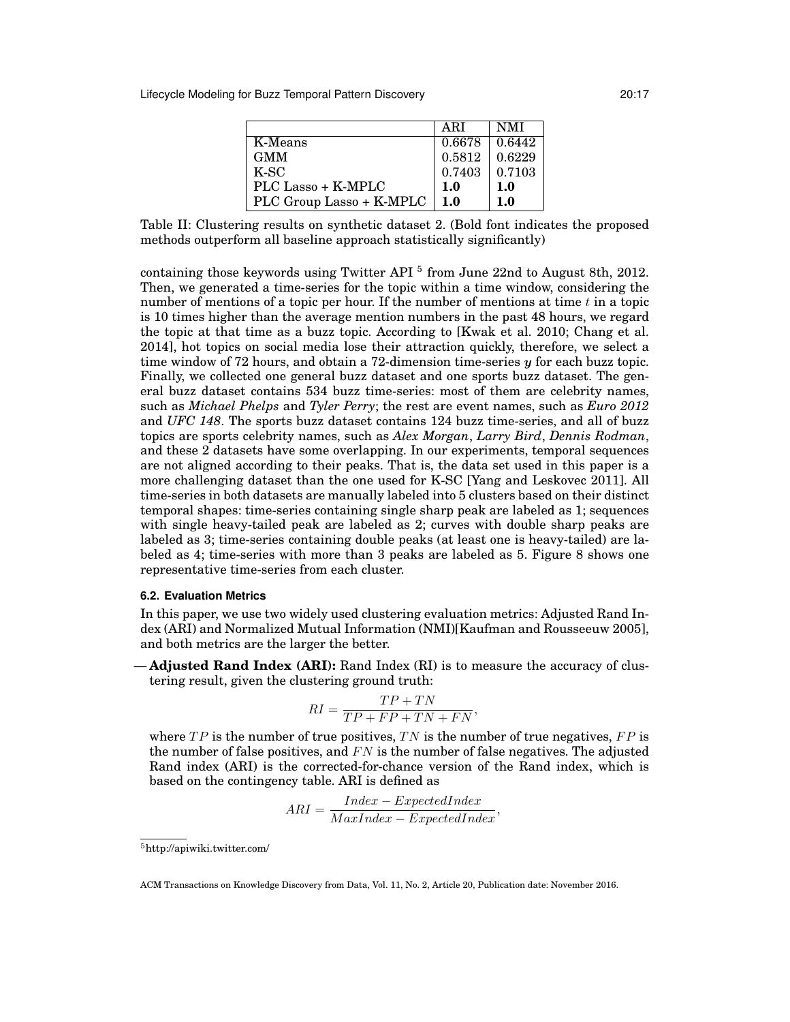Lifecycle Modeling for Buzz Temporal Pattern Discovery 20:17

|                          | ARI    | <b>NMI</b>    |
|--------------------------|--------|---------------|
| K-Means                  | 0.6678 | $\mid 0.6442$ |
| <b>GMM</b>               | 0.5812 | 0.6229        |
| K-SC                     | 0.7403 | 0.7103        |
| PLC Lasso + K-MPLC       | 1.0    | 1.0           |
| PLC Group Lasso + K-MPLC | 1.0    | 1.0           |

Table II: Clustering results on synthetic dataset 2. (Bold font indicates the proposed methods outperform all baseline approach statistically significantly)

containing those keywords using Twitter API<sup>5</sup> from June 22nd to August 8th, 2012. Then, we generated a time-series for the topic within a time window, considering the number of mentions of a topic per hour. If the number of mentions at time  $t$  in a topic is 10 times higher than the average mention numbers in the past 48 hours, we regard the topic at that time as a buzz topic. According to [Kwak et al. 2010; Chang et al. 2014], hot topics on social media lose their attraction quickly, therefore, we select a time window of 72 hours, and obtain a 72-dimension time-series y for each buzz topic. Finally, we collected one general buzz dataset and one sports buzz dataset. The general buzz dataset contains 534 buzz time-series: most of them are celebrity names, such as *Michael Phelps* and *Tyler Perry*; the rest are event names, such as *Euro 2012* and *UFC 148*. The sports buzz dataset contains 124 buzz time-series, and all of buzz topics are sports celebrity names, such as *Alex Morgan*, *Larry Bird*, *Dennis Rodman*, and these 2 datasets have some overlapping. In our experiments, temporal sequences are not aligned according to their peaks. That is, the data set used in this paper is a more challenging dataset than the one used for K-SC [Yang and Leskovec 2011]. All time-series in both datasets are manually labeled into 5 clusters based on their distinct temporal shapes: time-series containing single sharp peak are labeled as 1; sequences with single heavy-tailed peak are labeled as 2; curves with double sharp peaks are labeled as 3; time-series containing double peaks (at least one is heavy-tailed) are labeled as 4; time-series with more than 3 peaks are labeled as 5. Figure 8 shows one representative time-series from each cluster.

## **6.2. Evaluation Metrics**

In this paper, we use two widely used clustering evaluation metrics: Adjusted Rand Index (ARI) and Normalized Mutual Information (NMI)[Kaufman and Rousseeuw 2005], and both metrics are the larger the better.

— **Adjusted Rand Index (ARI):** Rand Index (RI) is to measure the accuracy of clustering result, given the clustering ground truth:

$$
RI = \frac{TP + TN}{TP + FP + TN + FN},
$$

where  $TP$  is the number of true positives,  $TN$  is the number of true negatives,  $FP$  is the number of false positives, and  $FN$  is the number of false negatives. The adjusted Rand index (ARI) is the corrected-for-chance version of the Rand index, which is based on the contingency table. ARI is defined as

$$
ARI = \frac{Index - ExpectedIndex}{MaxIndex - ExpectedIndex},
$$

<sup>5</sup>http://apiwiki.twitter.com/

ACM Transactions on Knowledge Discovery from Data, Vol. 11, No. 2, Article 20, Publication date: November 2016.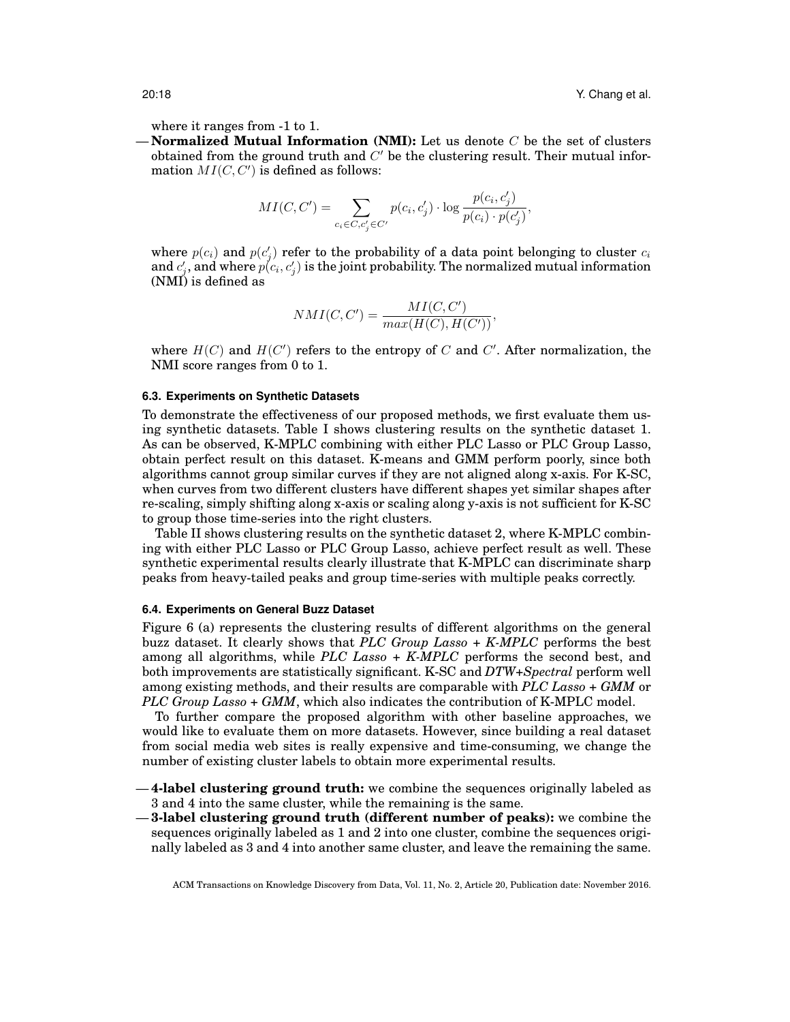where it ranges from -1 to 1.

 $-$ **Normalized Mutual Information (NMI):** Let us denote  $C$  be the set of clusters obtained from the ground truth and  $C'$  be the clustering result. Their mutual information  $MI(C, C')$  is defined as follows:

$$
MI(C, C') = \sum_{c_i \in C, c'_j \in C'} p(c_i, c'_j) \cdot \log \frac{p(c_i, c'_j)}{p(c_i) \cdot p(c'_j)},
$$

where  $p(c_i)$  and  $p(c'_j)$  refer to the probability of a data point belonging to cluster  $c_i$ and  $c'_j$ , and where  $p(c_i, c'_j)$  is the joint probability. The normalized mutual information (NMI) is defined as

$$
NMI(C, C') = \frac{MI(C, C')}{max(H(C), H(C'))},
$$

where  $H(C)$  and  $H(C')$  refers to the entropy of C and C'. After normalization, the NMI score ranges from 0 to 1.

#### **6.3. Experiments on Synthetic Datasets**

To demonstrate the effectiveness of our proposed methods, we first evaluate them using synthetic datasets. Table I shows clustering results on the synthetic dataset 1. As can be observed, K-MPLC combining with either PLC Lasso or PLC Group Lasso, obtain perfect result on this dataset. K-means and GMM perform poorly, since both algorithms cannot group similar curves if they are not aligned along x-axis. For K-SC, when curves from two different clusters have different shapes yet similar shapes after re-scaling, simply shifting along x-axis or scaling along y-axis is not sufficient for K-SC to group those time-series into the right clusters.

Table II shows clustering results on the synthetic dataset 2, where K-MPLC combining with either PLC Lasso or PLC Group Lasso, achieve perfect result as well. These synthetic experimental results clearly illustrate that K-MPLC can discriminate sharp peaks from heavy-tailed peaks and group time-series with multiple peaks correctly.

## **6.4. Experiments on General Buzz Dataset**

Figure 6 (a) represents the clustering results of different algorithms on the general buzz dataset. It clearly shows that *PLC Group Lasso + K-MPLC* performs the best among all algorithms, while *PLC Lasso + K-MPLC* performs the second best, and both improvements are statistically significant. K-SC and *DTW+Spectral* perform well among existing methods, and their results are comparable with *PLC Lasso + GMM* or *PLC Group Lasso + GMM*, which also indicates the contribution of K-MPLC model.

To further compare the proposed algorithm with other baseline approaches, we would like to evaluate them on more datasets. However, since building a real dataset from social media web sites is really expensive and time-consuming, we change the number of existing cluster labels to obtain more experimental results.

- **4-label clustering ground truth:** we combine the sequences originally labeled as 3 and 4 into the same cluster, while the remaining is the same.
- **3-label clustering ground truth (different number of peaks):** we combine the sequences originally labeled as 1 and 2 into one cluster, combine the sequences originally labeled as 3 and 4 into another same cluster, and leave the remaining the same.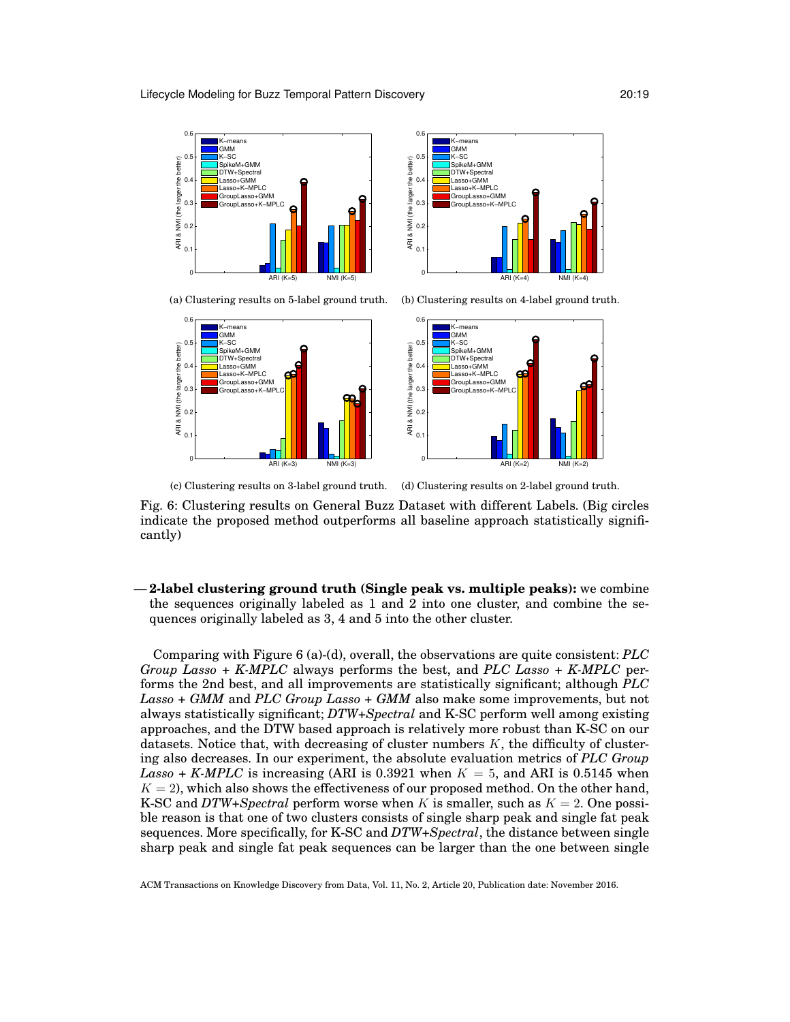



(a) Clustering results on 5-label ground truth. (b) Clustering results on 4-label ground truth.





(c) Clustering results on 3-label ground truth.

(d) Clustering results on 2-label ground truth.

Fig. 6: Clustering results on General Buzz Dataset with different Labels. (Big circles indicate the proposed method outperforms all baseline approach statistically significantly)

— **2-label clustering ground truth (Single peak vs. multiple peaks):** we combine the sequences originally labeled as 1 and 2 into one cluster, and combine the sequences originally labeled as 3, 4 and 5 into the other cluster.

Comparing with Figure 6 (a)-(d), overall, the observations are quite consistent: *PLC Group Lasso + K-MPLC* always performs the best, and *PLC Lasso + K-MPLC* performs the 2nd best, and all improvements are statistically significant; although *PLC Lasso + GMM* and *PLC Group Lasso + GMM* also make some improvements, but not always statistically significant; *DTW+Spectral* and K-SC perform well among existing approaches, and the DTW based approach is relatively more robust than K-SC on our datasets. Notice that, with decreasing of cluster numbers  $K$ , the difficulty of clustering also decreases. In our experiment, the absolute evaluation metrics of *PLC Group Lasso + K-MPLC* is increasing (ARI is 0.3921 when  $K = 5$ , and ARI is 0.5145 when  $K = 2$ , which also shows the effectiveness of our proposed method. On the other hand, K-SC and *DTW+Spectral* perform worse when K is smaller, such as  $K = 2$ . One possible reason is that one of two clusters consists of single sharp peak and single fat peak sequences. More specifically, for K-SC and *DTW+Spectral*, the distance between single sharp peak and single fat peak sequences can be larger than the one between single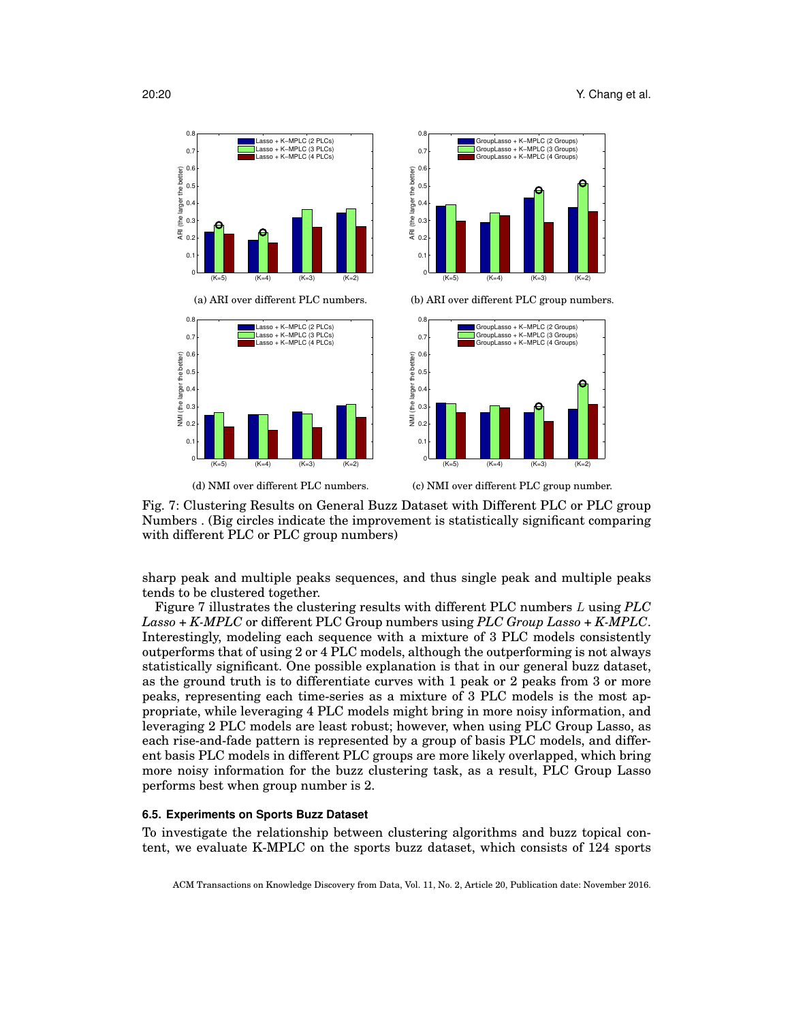

Fig. 7: Clustering Results on General Buzz Dataset with Different PLC or PLC group Numbers . (Big circles indicate the improvement is statistically significant comparing with different PLC or PLC group numbers)

sharp peak and multiple peaks sequences, and thus single peak and multiple peaks tends to be clustered together.

Figure 7 illustrates the clustering results with different PLC numbers L using *PLC Lasso + K-MPLC* or different PLC Group numbers using *PLC Group Lasso + K-MPLC*. Interestingly, modeling each sequence with a mixture of 3 PLC models consistently outperforms that of using 2 or 4 PLC models, although the outperforming is not always statistically significant. One possible explanation is that in our general buzz dataset, as the ground truth is to differentiate curves with 1 peak or 2 peaks from 3 or more peaks, representing each time-series as a mixture of 3 PLC models is the most appropriate, while leveraging 4 PLC models might bring in more noisy information, and leveraging 2 PLC models are least robust; however, when using PLC Group Lasso, as each rise-and-fade pattern is represented by a group of basis PLC models, and different basis PLC models in different PLC groups are more likely overlapped, which bring more noisy information for the buzz clustering task, as a result, PLC Group Lasso performs best when group number is 2.

#### **6.5. Experiments on Sports Buzz Dataset**

To investigate the relationship between clustering algorithms and buzz topical content, we evaluate K-MPLC on the sports buzz dataset, which consists of 124 sports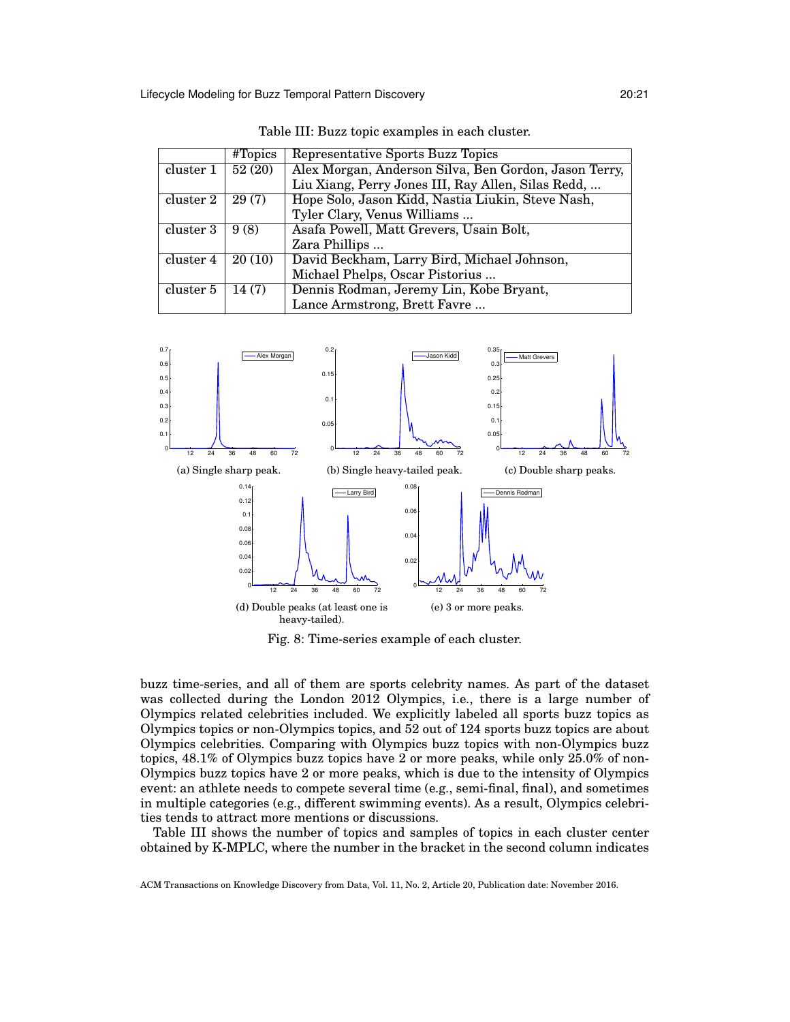|           | $# \nT \nopics$ | Representative Sports Buzz Topics                     |
|-----------|-----------------|-------------------------------------------------------|
| cluster 1 | 52(20)          | Alex Morgan, Anderson Silva, Ben Gordon, Jason Terry, |
|           |                 | Liu Xiang, Perry Jones III, Ray Allen, Silas Redd,    |
| cluster 2 | 29(7)           | Hope Solo, Jason Kidd, Nastia Liukin, Steve Nash,     |
|           |                 | Tyler Clary, Venus Williams                           |
| cluster 3 | 9(8)            | Asafa Powell, Matt Grevers, Usain Bolt,               |
|           |                 | Zara Phillips                                         |
| cluster 4 | 20(10)          | David Beckham, Larry Bird, Michael Johnson,           |
|           |                 | Michael Phelps, Oscar Pistorius                       |
| cluster 5 | 14(7)           | Dennis Rodman, Jeremy Lin, Kobe Bryant,               |
|           |                 | Lance Armstrong, Brett Favre                          |

Table III: Buzz topic examples in each cluster.



Fig. 8: Time-series example of each cluster.

buzz time-series, and all of them are sports celebrity names. As part of the dataset was collected during the London 2012 Olympics, i.e., there is a large number of Olympics related celebrities included. We explicitly labeled all sports buzz topics as Olympics topics or non-Olympics topics, and 52 out of 124 sports buzz topics are about Olympics celebrities. Comparing with Olympics buzz topics with non-Olympics buzz topics, 48.1% of Olympics buzz topics have 2 or more peaks, while only 25.0% of non-Olympics buzz topics have 2 or more peaks, which is due to the intensity of Olympics event: an athlete needs to compete several time (e.g., semi-final, final), and sometimes in multiple categories (e.g., different swimming events). As a result, Olympics celebrities tends to attract more mentions or discussions.

Table III shows the number of topics and samples of topics in each cluster center obtained by K-MPLC, where the number in the bracket in the second column indicates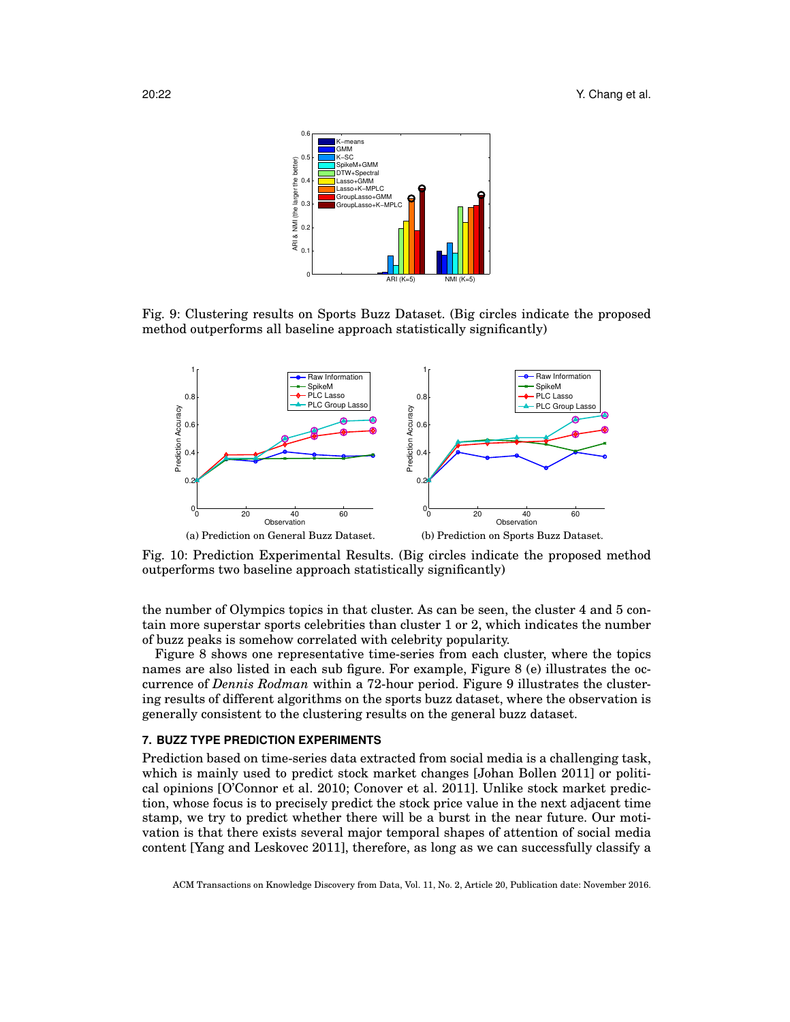

Fig. 9: Clustering results on Sports Buzz Dataset. (Big circles indicate the proposed method outperforms all baseline approach statistically significantly)



Fig. 10: Prediction Experimental Results. (Big circles indicate the proposed method outperforms two baseline approach statistically significantly)

the number of Olympics topics in that cluster. As can be seen, the cluster 4 and 5 contain more superstar sports celebrities than cluster 1 or 2, which indicates the number of buzz peaks is somehow correlated with celebrity popularity.

Figure 8 shows one representative time-series from each cluster, where the topics names are also listed in each sub figure. For example, Figure 8 (e) illustrates the occurrence of *Dennis Rodman* within a 72-hour period. Figure 9 illustrates the clustering results of different algorithms on the sports buzz dataset, where the observation is generally consistent to the clustering results on the general buzz dataset.

#### **7. BUZZ TYPE PREDICTION EXPERIMENTS**

Prediction based on time-series data extracted from social media is a challenging task, which is mainly used to predict stock market changes [Johan Bollen 2011] or political opinions [O'Connor et al. 2010; Conover et al. 2011]. Unlike stock market prediction, whose focus is to precisely predict the stock price value in the next adjacent time stamp, we try to predict whether there will be a burst in the near future. Our motivation is that there exists several major temporal shapes of attention of social media content [Yang and Leskovec 2011], therefore, as long as we can successfully classify a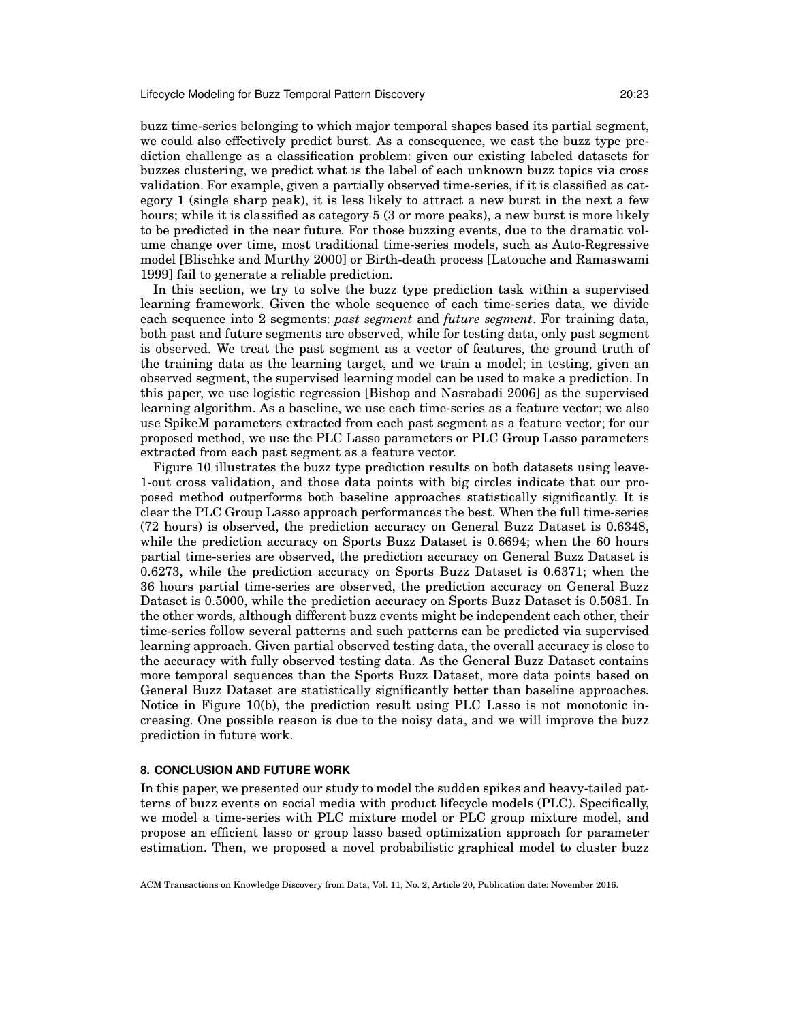buzz time-series belonging to which major temporal shapes based its partial segment, we could also effectively predict burst. As a consequence, we cast the buzz type prediction challenge as a classification problem: given our existing labeled datasets for buzzes clustering, we predict what is the label of each unknown buzz topics via cross validation. For example, given a partially observed time-series, if it is classified as category 1 (single sharp peak), it is less likely to attract a new burst in the next a few hours; while it is classified as category 5 (3 or more peaks), a new burst is more likely to be predicted in the near future. For those buzzing events, due to the dramatic volume change over time, most traditional time-series models, such as Auto-Regressive model [Blischke and Murthy 2000] or Birth-death process [Latouche and Ramaswami 1999] fail to generate a reliable prediction.

In this section, we try to solve the buzz type prediction task within a supervised learning framework. Given the whole sequence of each time-series data, we divide each sequence into 2 segments: *past segment* and *future segment*. For training data, both past and future segments are observed, while for testing data, only past segment is observed. We treat the past segment as a vector of features, the ground truth of the training data as the learning target, and we train a model; in testing, given an observed segment, the supervised learning model can be used to make a prediction. In this paper, we use logistic regression [Bishop and Nasrabadi 2006] as the supervised learning algorithm. As a baseline, we use each time-series as a feature vector; we also use SpikeM parameters extracted from each past segment as a feature vector; for our proposed method, we use the PLC Lasso parameters or PLC Group Lasso parameters extracted from each past segment as a feature vector.

Figure 10 illustrates the buzz type prediction results on both datasets using leave-1-out cross validation, and those data points with big circles indicate that our proposed method outperforms both baseline approaches statistically significantly. It is clear the PLC Group Lasso approach performances the best. When the full time-series (72 hours) is observed, the prediction accuracy on General Buzz Dataset is 0.6348, while the prediction accuracy on Sports Buzz Dataset is 0.6694; when the 60 hours partial time-series are observed, the prediction accuracy on General Buzz Dataset is 0.6273, while the prediction accuracy on Sports Buzz Dataset is 0.6371; when the 36 hours partial time-series are observed, the prediction accuracy on General Buzz Dataset is 0.5000, while the prediction accuracy on Sports Buzz Dataset is 0.5081. In the other words, although different buzz events might be independent each other, their time-series follow several patterns and such patterns can be predicted via supervised learning approach. Given partial observed testing data, the overall accuracy is close to the accuracy with fully observed testing data. As the General Buzz Dataset contains more temporal sequences than the Sports Buzz Dataset, more data points based on General Buzz Dataset are statistically significantly better than baseline approaches. Notice in Figure 10(b), the prediction result using PLC Lasso is not monotonic increasing. One possible reason is due to the noisy data, and we will improve the buzz prediction in future work.

## **8. CONCLUSION AND FUTURE WORK**

In this paper, we presented our study to model the sudden spikes and heavy-tailed patterns of buzz events on social media with product lifecycle models (PLC). Specifically, we model a time-series with PLC mixture model or PLC group mixture model, and propose an efficient lasso or group lasso based optimization approach for parameter estimation. Then, we proposed a novel probabilistic graphical model to cluster buzz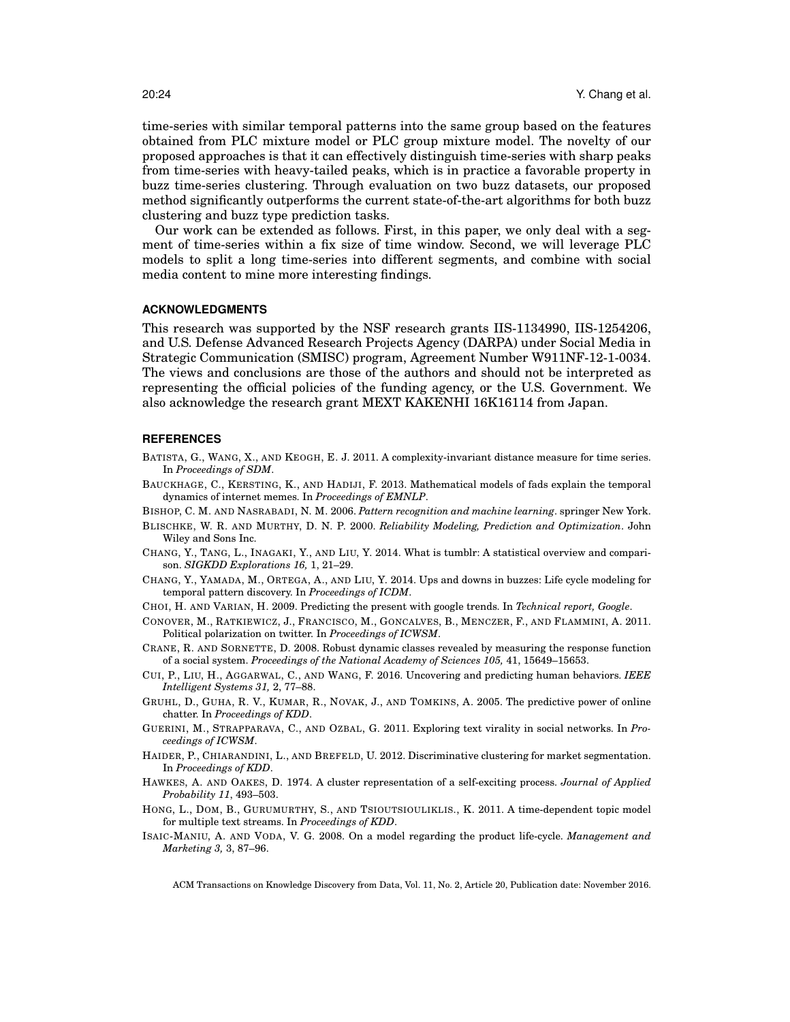time-series with similar temporal patterns into the same group based on the features obtained from PLC mixture model or PLC group mixture model. The novelty of our proposed approaches is that it can effectively distinguish time-series with sharp peaks from time-series with heavy-tailed peaks, which is in practice a favorable property in buzz time-series clustering. Through evaluation on two buzz datasets, our proposed method significantly outperforms the current state-of-the-art algorithms for both buzz clustering and buzz type prediction tasks.

Our work can be extended as follows. First, in this paper, we only deal with a segment of time-series within a fix size of time window. Second, we will leverage PLC models to split a long time-series into different segments, and combine with social media content to mine more interesting findings.

#### **ACKNOWLEDGMENTS**

This research was supported by the NSF research grants IIS-1134990, IIS-1254206, and U.S. Defense Advanced Research Projects Agency (DARPA) under Social Media in Strategic Communication (SMISC) program, Agreement Number W911NF-12-1-0034. The views and conclusions are those of the authors and should not be interpreted as representing the official policies of the funding agency, or the U.S. Government. We also acknowledge the research grant MEXT KAKENHI 16K16114 from Japan.

#### **REFERENCES**

- BATISTA, G., WANG, X., AND KEOGH, E. J. 2011. A complexity-invariant distance measure for time series. In *Proceedings of SDM*.
- BAUCKHAGE, C., KERSTING, K., AND HADIJI, F. 2013. Mathematical models of fads explain the temporal dynamics of internet memes. In *Proceedings of EMNLP*.
- BISHOP, C. M. AND NASRABADI, N. M. 2006. *Pattern recognition and machine learning*. springer New York.
- BLISCHKE, W. R. AND MURTHY, D. N. P. 2000. *Reliability Modeling, Prediction and Optimization*. John Wiley and Sons Inc.
- CHANG, Y., TANG, L., INAGAKI, Y., AND LIU, Y. 2014. What is tumblr: A statistical overview and comparison. *SIGKDD Explorations 16,* 1, 21–29.
- CHANG, Y., YAMADA, M., ORTEGA, A., AND LIU, Y. 2014. Ups and downs in buzzes: Life cycle modeling for temporal pattern discovery. In *Proceedings of ICDM*.
- CHOI, H. AND VARIAN, H. 2009. Predicting the present with google trends. In *Technical report, Google*.
- CONOVER, M., RATKIEWICZ, J., FRANCISCO, M., GONCALVES, B., MENCZER, F., AND FLAMMINI, A. 2011. Political polarization on twitter. In *Proceedings of ICWSM*.
- CRANE, R. AND SORNETTE, D. 2008. Robust dynamic classes revealed by measuring the response function of a social system. *Proceedings of the National Academy of Sciences 105,* 41, 15649–15653.
- CUI, P., LIU, H., AGGARWAL, C., AND WANG, F. 2016. Uncovering and predicting human behaviors. *IEEE Intelligent Systems 31,* 2, 77–88.
- GRUHL, D., GUHA, R. V., KUMAR, R., NOVAK, J., AND TOMKINS, A. 2005. The predictive power of online chatter. In *Proceedings of KDD*.
- GUERINI, M., STRAPPARAVA, C., AND OZBAL, G. 2011. Exploring text virality in social networks. In *Proceedings of ICWSM*.
- HAIDER, P., CHIARANDINI, L., AND BREFELD, U. 2012. Discriminative clustering for market segmentation. In *Proceedings of KDD*.
- HAWKES, A. AND OAKES, D. 1974. A cluster representation of a self-exciting process. *Journal of Applied Probability 11*, 493–503.
- HONG, L., DOM, B., GURUMURTHY, S., AND TSIOUTSIOULIKLIS., K. 2011. A time-dependent topic model for multiple text streams. In *Proceedings of KDD*.
- ISAIC-MANIU, A. AND VODA, V. G. 2008. On a model regarding the product life-cycle. *Management and Marketing 3,* 3, 87–96.